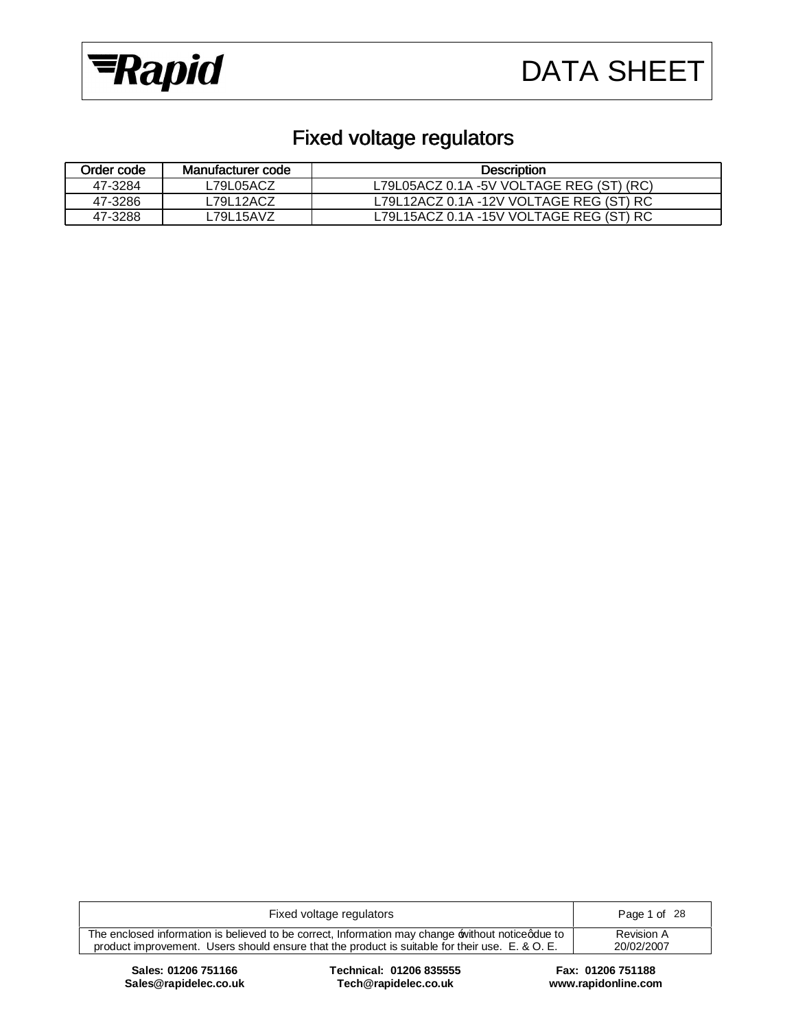



# Fixed voltage regulators

| Order code | Manufacturer code | <b>Description</b>                       |
|------------|-------------------|------------------------------------------|
| 47-3284    | ∟79L05ACZ         | L79L05ACZ 0.1A -5V VOLTAGE REG (ST) (RC) |
| 47-3286    | L79L12ACZ         | L79L12ACZ 0.1A -12V VOLTAGE REG (ST) RC  |
| 47-3288    | L79L15AVZ         | L79L15ACZ 0.1A -15V VOLTAGE REG (ST) RC  |

| Fixed voltage regulators                                                                                                                                                                           | Page 1 of 28             |
|----------------------------------------------------------------------------------------------------------------------------------------------------------------------------------------------------|--------------------------|
| The enclosed information is believed to be correct, Information may change without noticedue to<br>product improvement. Users should ensure that the product is suitable for their use. E. & O. E. | Revision A<br>20/02/2007 |
|                                                                                                                                                                                                    |                          |

 $Sales@rapidelec.co.uk$ 

**Sales: 01206 751166 Technical: 01206 835555 Fax: 01206 751188**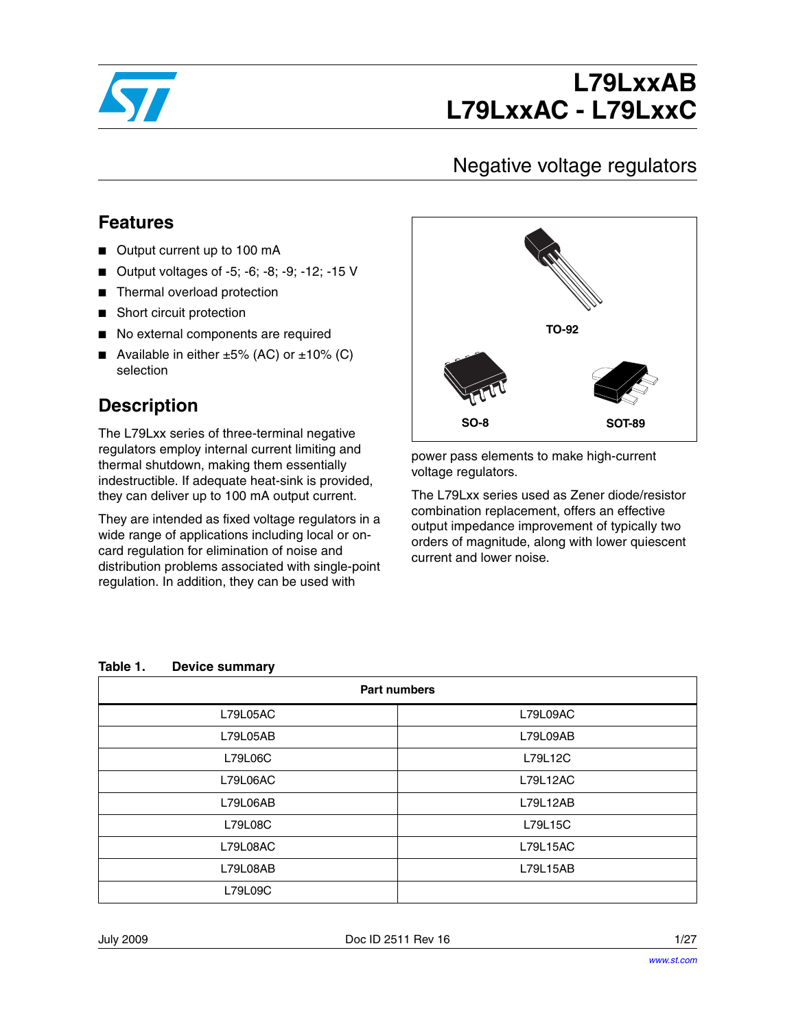

# **L79LxxAB L79LxxAC - L79LxxC**

# Negative voltage regulators

### **Features**

- Output current up to 100 mA
- Output voltages of -5; -6; -8; -9; -12; -15 V
- Thermal overload protection
- Short circuit protection
- No external components are required
- Available in either  $±5%$  (AC) or  $±10%$  (C) selection

### **Description**

The L79Lxx series of three-terminal negative regulators employ internal current limiting and thermal shutdown, making them essentially indestructible. If adequate heat-sink is provided, they can deliver up to 100 mA output current.

They are intended as fixed voltage regulators in a wide range of applications including local or oncard regulation for elimination of noise and distribution problems associated with single-point regulation. In addition, they can be used with



power pass elements to make high-current voltage regulators.

The L79Lxx series used as Zener diode/resistor combination replacement, offers an effective output impedance improvement of typically two orders of magnitude, along with lower quiescent current and lower noise.

#### **Table 1. Device summary**

| <b>Part numbers</b> |          |  |  |  |
|---------------------|----------|--|--|--|
| L79L05AC            | L79L09AC |  |  |  |
| L79L05AB            | L79L09AB |  |  |  |
| L79L06C             | L79L12C  |  |  |  |
| L79L06AC            | L79L12AC |  |  |  |
| L79L06AB            | L79L12AB |  |  |  |
| L79L08C             | L79L15C  |  |  |  |
| L79L08AC            | L79L15AC |  |  |  |
| L79L08AB            | L79L15AB |  |  |  |
| L79L09C             |          |  |  |  |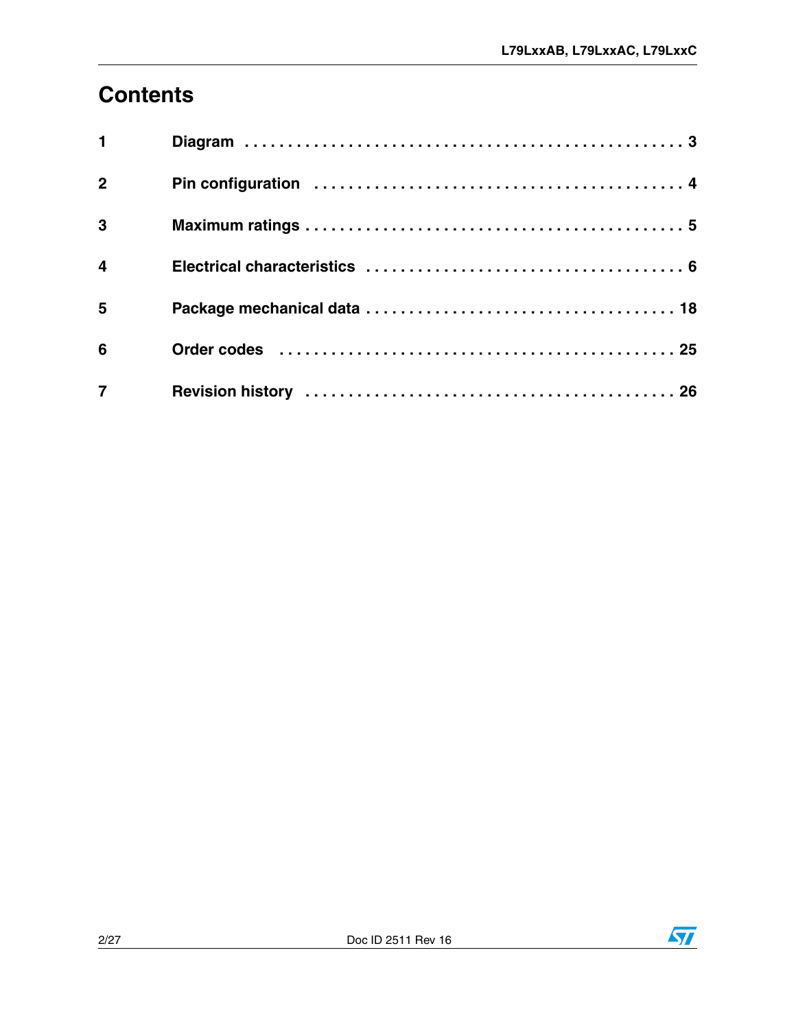# **[Contents](#page-3-0)**

| $\blacksquare$ |                                                                                                                |  |
|----------------|----------------------------------------------------------------------------------------------------------------|--|
| $\overline{2}$ |                                                                                                                |  |
| $\mathbf{3}$   |                                                                                                                |  |
| $\overline{4}$ |                                                                                                                |  |
| 5              |                                                                                                                |  |
| 6              | Order codes (and all and all and all and all and all and all and all and all and all and all and all and all a |  |
| $\overline{7}$ |                                                                                                                |  |

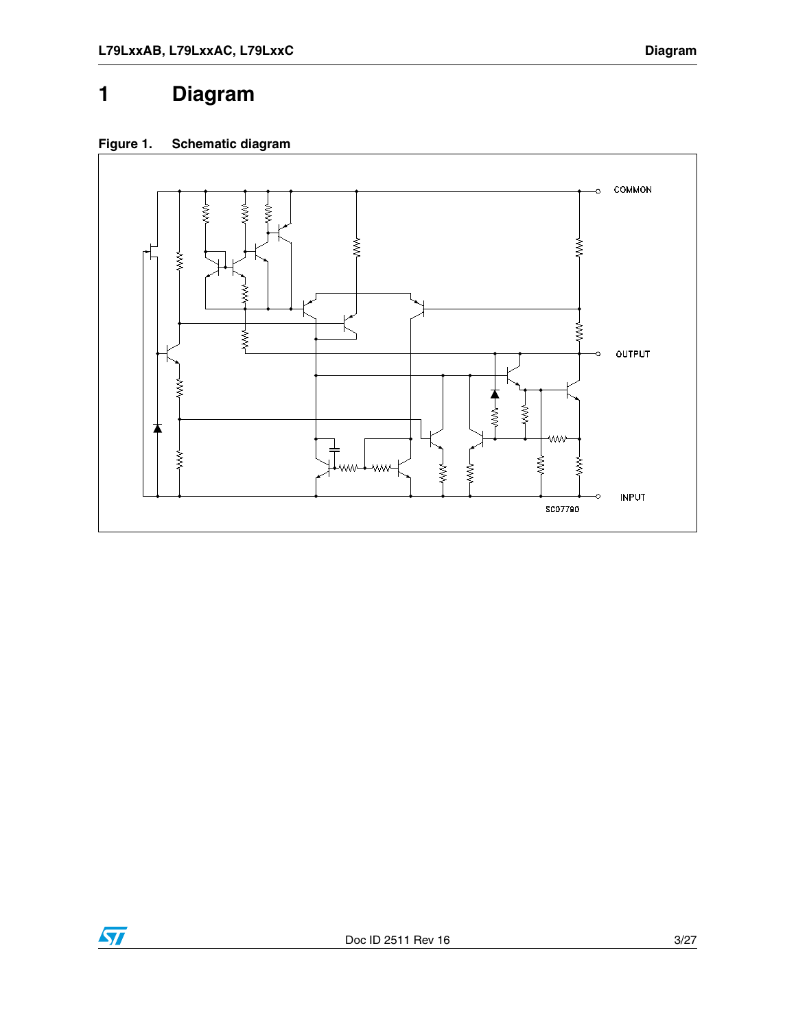# <span id="page-3-0"></span>**1 Diagram**





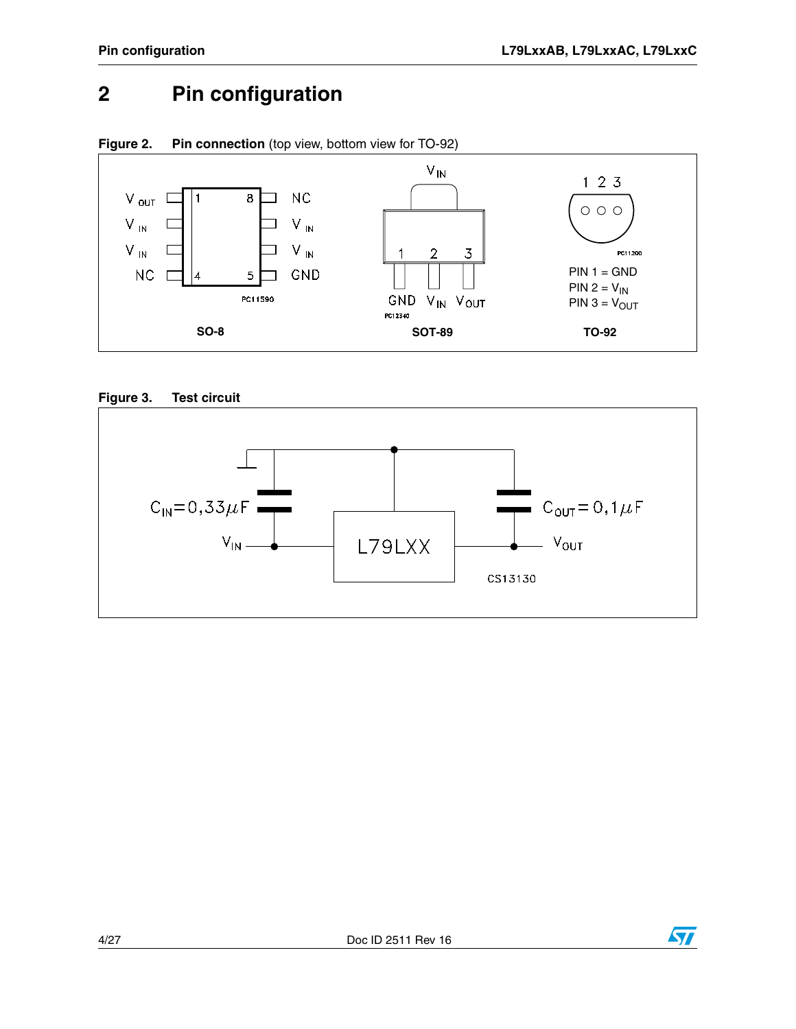# <span id="page-4-0"></span>**2 Pin configuration**









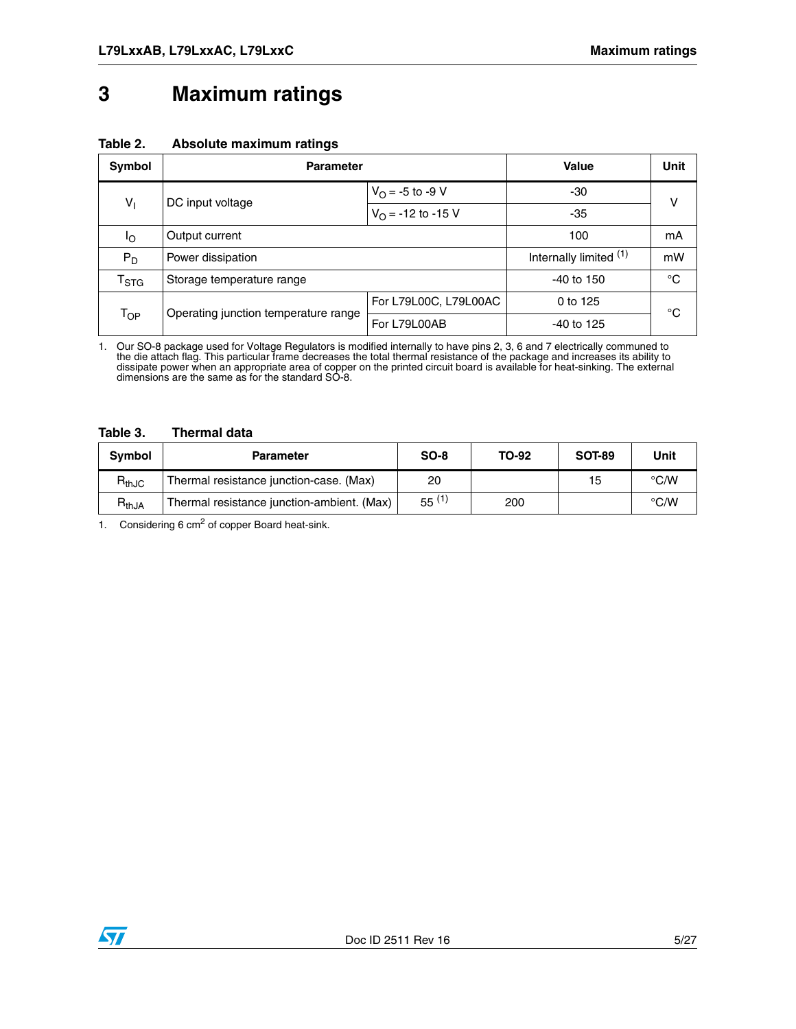### <span id="page-5-0"></span>**3 Maximum ratings**

#### **Table 2. Absolute maximum ratings**

| Symbol                      | <b>Parameter</b>                     |                             | Value                                                                            | Unit        |  |
|-----------------------------|--------------------------------------|-----------------------------|----------------------------------------------------------------------------------|-------------|--|
|                             | DC input voltage                     | $V_{\text{O}} = -5$ to -9 V | -30                                                                              | v           |  |
| $V_1$                       |                                      | $V_{\Omega}$ = -12 to -15 V | -35<br>100<br>Internally limited (1)<br>$-40$ to 150<br>0 to 125<br>$-40$ to 125 |             |  |
| Ιo                          | Output current                       |                             |                                                                                  | mA          |  |
| $P_D$                       | Power dissipation                    |                             |                                                                                  | mW          |  |
| $\mathsf{T}_{\textsf{STG}}$ | Storage temperature range            |                             |                                                                                  | $^{\circ}C$ |  |
|                             |                                      | For L79L00C, L79L00AC       |                                                                                  | °C          |  |
| T <sub>OP</sub>             | Operating junction temperature range | For L79L00AB                |                                                                                  |             |  |

1. Our SO-8 package used for Voltage Regulators is modified internally to have pins 2, 3, 6 and 7 electrically communed to<br>the die attach flag. This particular frame decreases the total thermal resistance of the package an dissipate power when an appropriate area of copper on the printed circuit board is available for heat-sinking. The external dimensions are the same as for the standard SO-8.

#### **Table 3. Thermal data**

| <b>Symbol</b> | <b>Parameter</b>                           | $SO-8$     | <b>TO-92</b> | <b>SOT-89</b> | Unit               |
|---------------|--------------------------------------------|------------|--------------|---------------|--------------------|
| $R_{thJC}$    | Thermal resistance junction-case. (Max)    | 20         |              | 15            | $\degree$ C/W      |
| $R_{thJA}$    | Thermal resistance junction-ambient. (Max) | $55^{(1)}$ | 200          |               | $\rm ^{\circ}$ C/W |

1. Considering 6  $cm<sup>2</sup>$  of copper Board heat-sink.

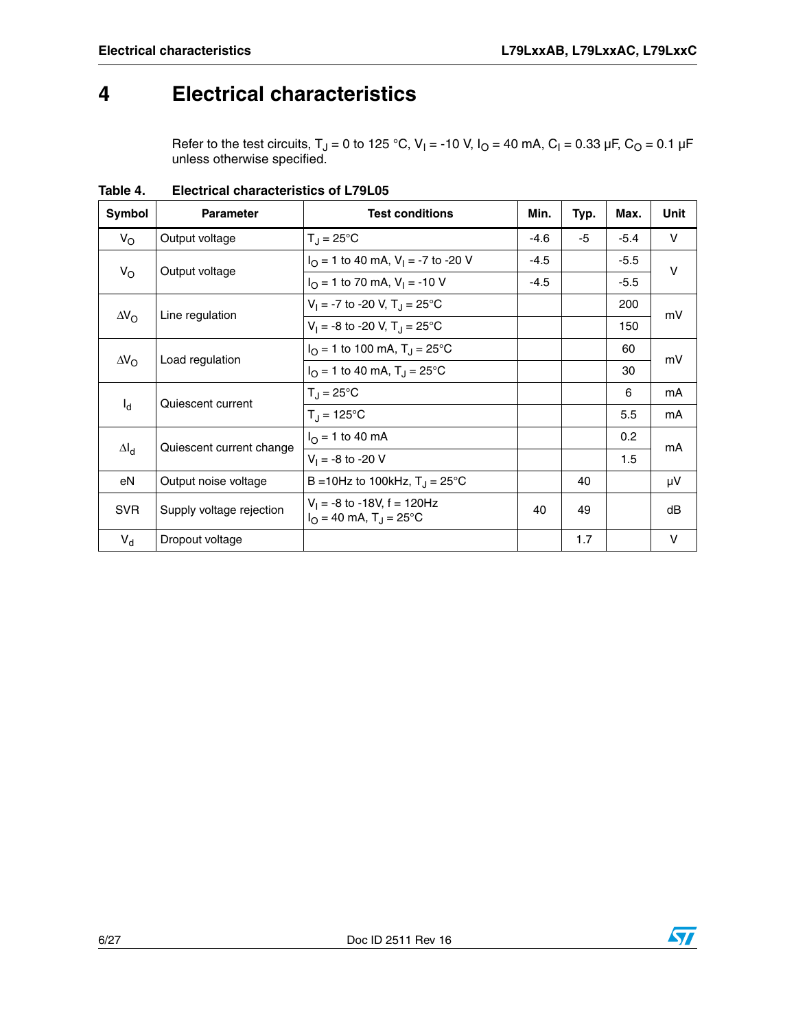### <span id="page-6-0"></span>**4 Electrical characteristics**

Refer to the test circuits, T<sub>J</sub> = 0 to 125 °C, V<sub>I</sub> = -10 V, I<sub>O</sub> = 40 mA, C<sub>I</sub> = 0.33 µF, C<sub>O</sub> = 0.1 µF unless otherwise specified.

| Symbol             | <b>Parameter</b>                      | <b>Test conditions</b>                                                            | Min.   | Typ. | Max.   | Unit |
|--------------------|---------------------------------------|-----------------------------------------------------------------------------------|--------|------|--------|------|
| $V_{\rm O}$        | Output voltage                        | $T_{\rm J} = 25^{\circ}$ C                                                        | $-4.6$ | -5   | $-5.4$ | V    |
| $V_{\rm O}$        | Output voltage                        | $IO = 1$ to 40 mA, $VI = -7$ to -20 V                                             | $-4.5$ |      | $-5.5$ | v    |
|                    |                                       | $I_{\Omega}$ = 1 to 70 mA, $V_{\text{I}}$ = -10 V                                 | $-4.5$ |      | $-5.5$ |      |
|                    |                                       | $V_1 = -7$ to -20 V, T <sub>J</sub> = 25 °C                                       |        |      | 200    | mV   |
| $\Delta V_{\rm O}$ | Line regulation                       | $V_1 = -8$ to -20 V, T <sub>J</sub> = 25 °C                                       |        |      | 150    |      |
|                    | $\Delta V_{\rm O}$<br>Load regulation | $I_{\Omega}$ = 1 to 100 mA, T <sub>J</sub> = 25°C                                 |        |      | 60     | mV   |
|                    |                                       | $I_{\Omega}$ = 1 to 40 mA, T <sub>J</sub> = 25 °C                                 |        |      | 30     |      |
|                    | Quiescent current                     | $T_{\rm J} = 25^{\circ}$ C                                                        |        |      | 6      | mA   |
| $I_d$              |                                       | $T_{\rm d} = 125^{\circ}C$                                                        |        |      | 5.5    | mA   |
|                    |                                       | $I_{\Omega}$ = 1 to 40 mA                                                         |        |      | 0.2    | mA   |
| $\Delta I_d$       | Quiescent current change              | $V_1 = -8$ to -20 V                                                               |        |      | 1.5    |      |
| eN                 | Output noise voltage                  | B = 10Hz to 100kHz, $T_{\rm J}$ = 25°C                                            |        | 40   |        | μV   |
| <b>SVR</b>         | Supply voltage rejection              | $V_1 = -8$ to $-18V_1$ , f = 120Hz<br>$I_{\Omega}$ = 40 mA, T <sub>J</sub> = 25°C | 40     | 49   |        | dB   |
| $V_{d}$            | Dropout voltage                       |                                                                                   |        | 1.7  |        | V    |

**Table 4. Electrical characteristics of L79L05**

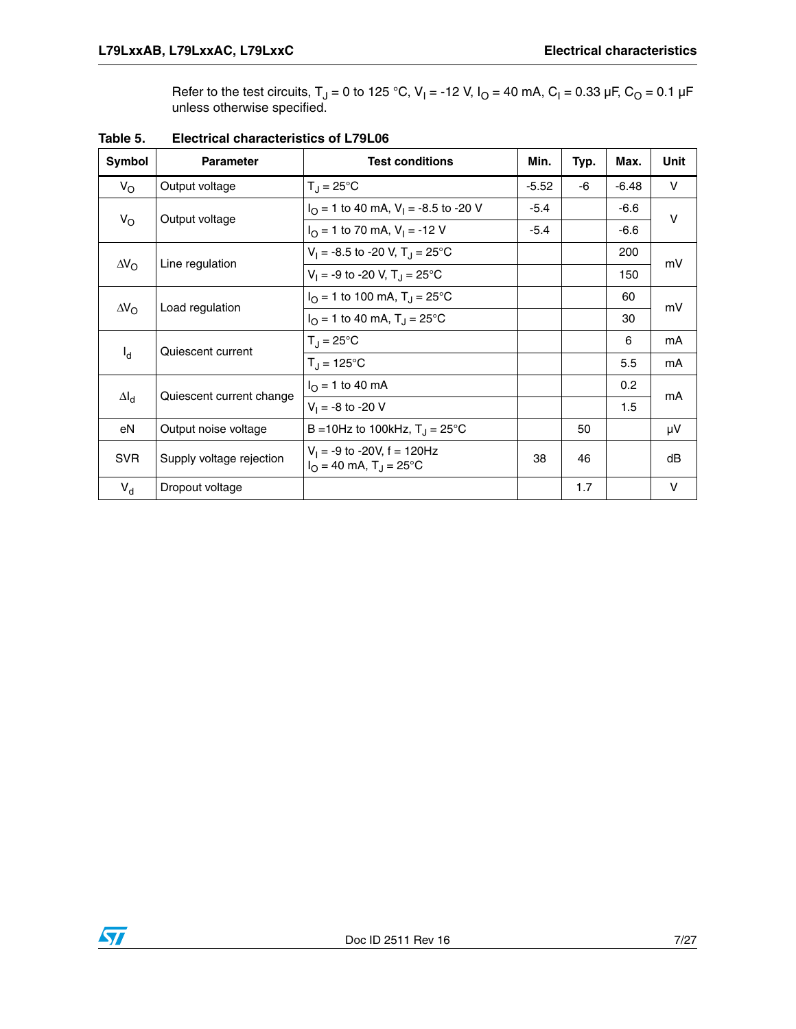Refer to the test circuits, T<sub>J</sub> = 0 to 125 °C, V<sub>I</sub> = -12 V, I<sub>O</sub> = 40 mA, C<sub>I</sub> = 0.33 µF, C<sub>O</sub> = 0.1 µF unless otherwise specified.

| Symbol             | <b>Parameter</b>                      | <b>Test conditions</b>                                                       | Min.    | Typ. | Max.    | <b>Unit</b> |
|--------------------|---------------------------------------|------------------------------------------------------------------------------|---------|------|---------|-------------|
| $V_{\rm O}$        | Output voltage                        | $T_J = 25^{\circ}C$                                                          | $-5.52$ | -6   | $-6.48$ | V           |
|                    | Output voltage                        | $IO = 1$ to 40 mA, $VI = -8.5$ to -20 V                                      | $-5.4$  |      | $-6.6$  | $\vee$      |
| $V_{\rm O}$        |                                       | $I_{\Omega}$ = 1 to 70 mA, $V_{\text{I}}$ = -12 V                            | $-5.4$  |      | $-6.6$  |             |
|                    | Line regulation                       | $V_1 = -8.5$ to -20 V, T <sub>J</sub> = 25 °C                                |         |      | 200     | mV          |
| $\Delta V_{\rm O}$ |                                       | $V_1 = -9$ to -20 V, T <sub>J</sub> = 25 °C                                  |         |      | 150     |             |
|                    | Load regulation<br>$\Delta V_{\rm O}$ | $I_{\Omega}$ = 1 to 100 mA, T <sub>J</sub> = 25°C                            |         |      | 60      | mV          |
|                    |                                       | $I_O = 1$ to 40 mA, $T_J = 25^{\circ}C$                                      |         |      | 30      |             |
|                    | Quiescent current                     | $T_{\rm J}$ = 25°C                                                           |         |      | 6       | mA          |
| $I_d$              |                                       | $T_{\rm d}$ = 125°C                                                          |         |      | 5.5     | mA          |
| $\Delta I_d$       | Quiescent current change              | $I_{\Omega}$ = 1 to 40 mA                                                    |         |      | 0.2     | mA          |
|                    |                                       | $V_1 = -8$ to -20 V                                                          |         |      | 1.5     |             |
| eN                 | Output noise voltage                  | B = 10Hz to 100kHz, $T_{\rm J}$ = 25°C                                       |         | 50   |         | μV          |
| <b>SVR</b>         | Supply voltage rejection              | $V_1 = -9$ to -20V, f = 120Hz<br>$I_{\Omega}$ = 40 mA, T <sub>J</sub> = 25°C | 38      | 46   |         | dB          |
| $V_{d}$            | Dropout voltage                       |                                                                              |         | 1.7  |         | $\vee$      |

**Table 5. Electrical characteristics of L79L06**

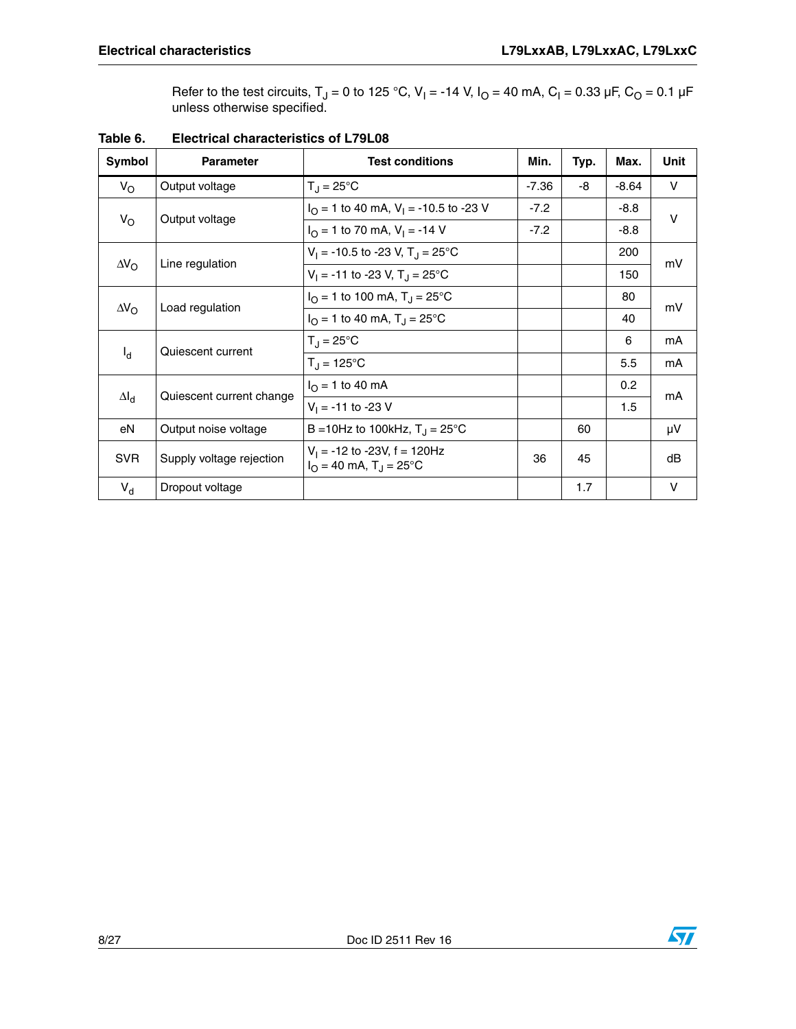Refer to the test circuits, T<sub>J</sub> = 0 to 125 °C, V<sub>I</sub> = -14 V, I<sub>O</sub> = 40 mA, C<sub>I</sub> = 0.33 µF, C<sub>O</sub> = 0.1 µF unless otherwise specified.

| Symbol                                                                                          | <b>Parameter</b>                      | <b>Test conditions</b>                                                        | Min.    | Typ. | Max.    | Unit   |
|-------------------------------------------------------------------------------------------------|---------------------------------------|-------------------------------------------------------------------------------|---------|------|---------|--------|
| $V_{\rm O}$                                                                                     | Output voltage                        | $T_{\rm J}$ = 25°C                                                            | $-7.36$ | -8   | $-8.64$ | V      |
|                                                                                                 | Output voltage                        | $IO = 1$ to 40 mA, V <sub>1</sub> = -10.5 to -23 V                            | $-7.2$  |      | $-8.8$  | $\vee$ |
|                                                                                                 |                                       | $I_{\Omega}$ = 1 to 70 mA, $V_{\text{I}}$ = -14 V                             | $-7.2$  |      | $-8.8$  |        |
|                                                                                                 | Line regulation                       | $V_1 = -10.5$ to -23 V, T <sub>J</sub> = 25 <sup>o</sup> C                    |         |      | 200     | mV     |
|                                                                                                 |                                       | $V_1 = -11$ to -23 V, T <sub>J</sub> = 25°C                                   |         |      | 150     |        |
|                                                                                                 | $\Delta V_{\rm O}$<br>Load regulation | $I_{\Omega}$ = 1 to 100 mA, T <sub>J</sub> = 25°C                             |         |      | 80      | mV     |
|                                                                                                 |                                       | $I_{\Omega}$ = 1 to 40 mA, T <sub>J</sub> = 25 °C                             |         |      | 40      |        |
|                                                                                                 | Quiescent current                     | $T_J = 25^{\circ}C$                                                           |         |      | 6       | mA     |
| $V_{\rm O}$<br>$\Delta V_{\rm O}$<br>$I_{\rm d}$<br>$\Delta I_d$<br>eN<br><b>SVR</b><br>$V_{d}$ |                                       | $T_{\rm d}$ = 125°C                                                           |         |      | 5.5     | mA     |
|                                                                                                 | Quiescent current change              | $I_{\Omega}$ = 1 to 40 mA                                                     |         |      | 0.2     | mA     |
|                                                                                                 |                                       | $V_1 = -11$ to -23 V                                                          |         |      | 1.5     |        |
|                                                                                                 | Output noise voltage                  | B = 10Hz to 100kHz, $T_{\rm J}$ = 25°C                                        |         | 60   |         | μV     |
|                                                                                                 | Supply voltage rejection              | $V_1$ = -12 to -23V, f = 120Hz<br>$I_{\Omega}$ = 40 mA, T <sub>J</sub> = 25°C | 36      | 45   |         | dB     |
|                                                                                                 | Dropout voltage                       |                                                                               |         | 1.7  |         | v      |

### **Table 6. Electrical characteristics of L79L08**

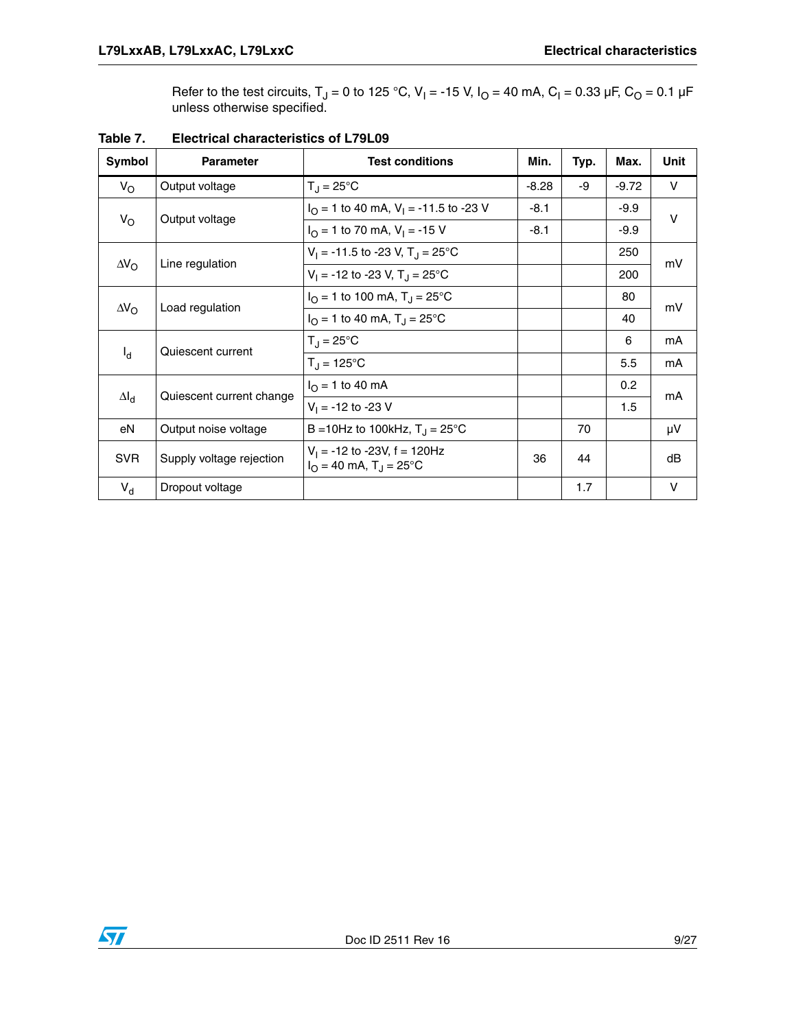Refer to the test circuits, T<sub>J</sub> = 0 to 125 °C, V<sub>I</sub> = -15 V, I<sub>O</sub> = 40 mA, C<sub>I</sub> = 0.33 µF, C<sub>O</sub> = 0.1 µF unless otherwise specified.

| Symbol             | <b>Parameter</b>                      | <b>Test conditions</b>                                                        | Min.    | Typ. | Max.    | Unit         |
|--------------------|---------------------------------------|-------------------------------------------------------------------------------|---------|------|---------|--------------|
| $V_{\rm O}$        | Output voltage                        | $T_{\rm J} = 25^{\circ}$ C                                                    | $-8.28$ | -9   | $-9.72$ | $\mathsf{V}$ |
| $V_{\rm O}$        | Output voltage                        | $I_{\Omega}$ = 1 to 40 mA, V <sub>1</sub> = -11.5 to -23 V                    | $-8.1$  |      | $-9.9$  | $\vee$       |
|                    |                                       | $IO$ = 1 to 70 mA, V <sub>1</sub> = -15 V                                     | $-8.1$  |      | $-9.9$  |              |
|                    | Line regulation                       | $V_1 = -11.5$ to -23 V, T <sub>J</sub> = 25 °C                                |         |      | 250     | mV           |
| $\Delta V_{\rm O}$ |                                       | $V_1 = -12$ to -23 V, T <sub>J</sub> = 25 °C                                  |         |      | 200     |              |
|                    | Load regulation<br>$\Delta V_{\rm O}$ | $I_{\Omega}$ = 1 to 100 mA, T <sub>J</sub> = 25°C                             |         |      | 80      | mV           |
|                    |                                       | $IO = 1$ to 40 mA, $TJ = 25$ °C                                               |         |      | 40      |              |
|                    | Quiescent current                     | $T_{\rm J}$ = 25°C                                                            |         |      | 6       | mA           |
| $I_d$              |                                       | $T_{\rm J} = 125^{\circ}C$                                                    |         |      | 5.5     | mA           |
| $\Delta I_d$       |                                       | $I_{\Omega}$ = 1 to 40 mA                                                     |         |      | 0.2     | mA           |
|                    | Quiescent current change              | $V_1 = -12$ to -23 V                                                          |         |      | 1.5     |              |
| eN                 | Output noise voltage                  | B = 10Hz to 100kHz, $T_{\rm J}$ = 25°C                                        |         | 70   |         | μV           |
| <b>SVR</b>         | Supply voltage rejection              | $V_1 = -12$ to -23V, f = 120Hz<br>$I_{\Omega}$ = 40 mA, T <sub>J</sub> = 25°C | 36      | 44   |         | dB           |
| $V_{d}$            | Dropout voltage                       |                                                                               |         | 1.7  |         | $\vee$       |

**Table 7. Electrical characteristics of L79L09**

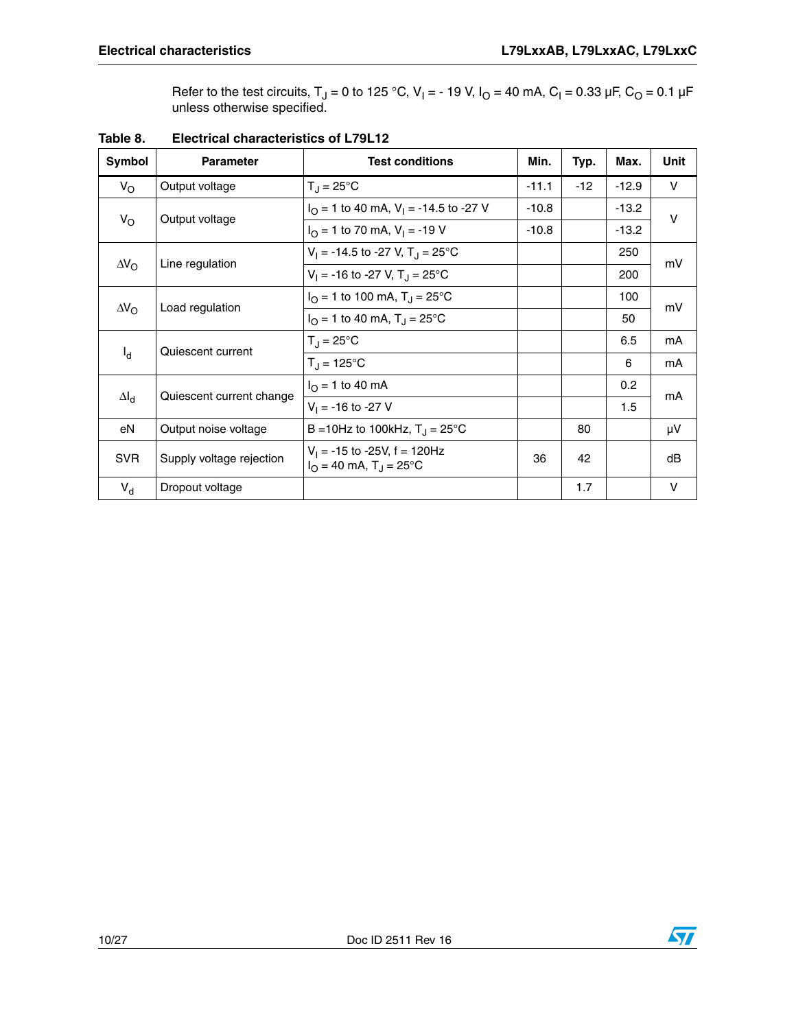Refer to the test circuits, T<sub>J</sub> = 0 to 125 °C, V<sub>I</sub> = - 19 V, I<sub>O</sub> = 40 mA, C<sub>I</sub> = 0.33 µF, C<sub>O</sub> = 0.1 µF unless otherwise specified.

| Symbol                                                                                          | <b>Parameter</b>                      | <b>Test conditions</b>                                                        | Min.    | Typ.  | Max.    | Unit         |
|-------------------------------------------------------------------------------------------------|---------------------------------------|-------------------------------------------------------------------------------|---------|-------|---------|--------------|
| $V_{\rm O}$                                                                                     | Output voltage                        | $T_{\rm J}$ = 25°C                                                            | $-11.1$ | $-12$ | $-12.9$ | V            |
|                                                                                                 |                                       | $IO = 1$ to 40 mA, V <sub>1</sub> = -14.5 to -27 V                            | $-10.8$ |       | $-13.2$ | $\mathsf{V}$ |
|                                                                                                 | Output voltage                        | $I_{\Omega}$ = 1 to 70 mA, $V_{\text{I}}$ = -19 V                             | $-10.8$ |       | $-13.2$ |              |
|                                                                                                 | Line regulation                       | $V_1 = -14.5$ to -27 V, T <sub>J</sub> = 25 °C                                |         |       | 250     | mV           |
|                                                                                                 |                                       | $V_1 = -16$ to -27 V, T <sub>J</sub> = 25 °C                                  |         |       | 200     |              |
|                                                                                                 | $\Delta V_{\rm O}$<br>Load regulation | $I_{\Omega}$ = 1 to 100 mA, T <sub>J</sub> = 25°C                             |         |       | 100     | mV           |
|                                                                                                 |                                       | $I_{\Omega}$ = 1 to 40 mA, T <sub>J</sub> = 25 °C                             |         |       | 50      |              |
|                                                                                                 | Quiescent current                     | $T_{\rm J} = 25^{\circ}$ C                                                    |         |       | 6.5     | mA           |
| $V_{\rm O}$<br>$\Delta V_{\rm O}$<br>$I_{\rm d}$<br>$\Delta I_d$<br>eN<br><b>SVR</b><br>$V_{d}$ |                                       | $T_{\rm d}$ = 125°C                                                           |         |       | 6       | mA           |
|                                                                                                 | Quiescent current change              | $I_{\Omega}$ = 1 to 40 mA                                                     |         |       | 0.2     | mA           |
|                                                                                                 |                                       | $V_1 = -16$ to -27 V                                                          |         |       | 1.5     |              |
|                                                                                                 | Output noise voltage                  | B = 10Hz to 100kHz, $T_{\rm J}$ = 25°C                                        |         | 80    |         | μV           |
|                                                                                                 | Supply voltage rejection              | $V_1$ = -15 to -25V, f = 120Hz<br>$I_{\Omega}$ = 40 mA, T <sub>J</sub> = 25°C | 36      | 42    |         | dB           |
|                                                                                                 | Dropout voltage                       |                                                                               |         | 1.7   |         | v            |

### **Table 8. Electrical characteristics of L79L12**

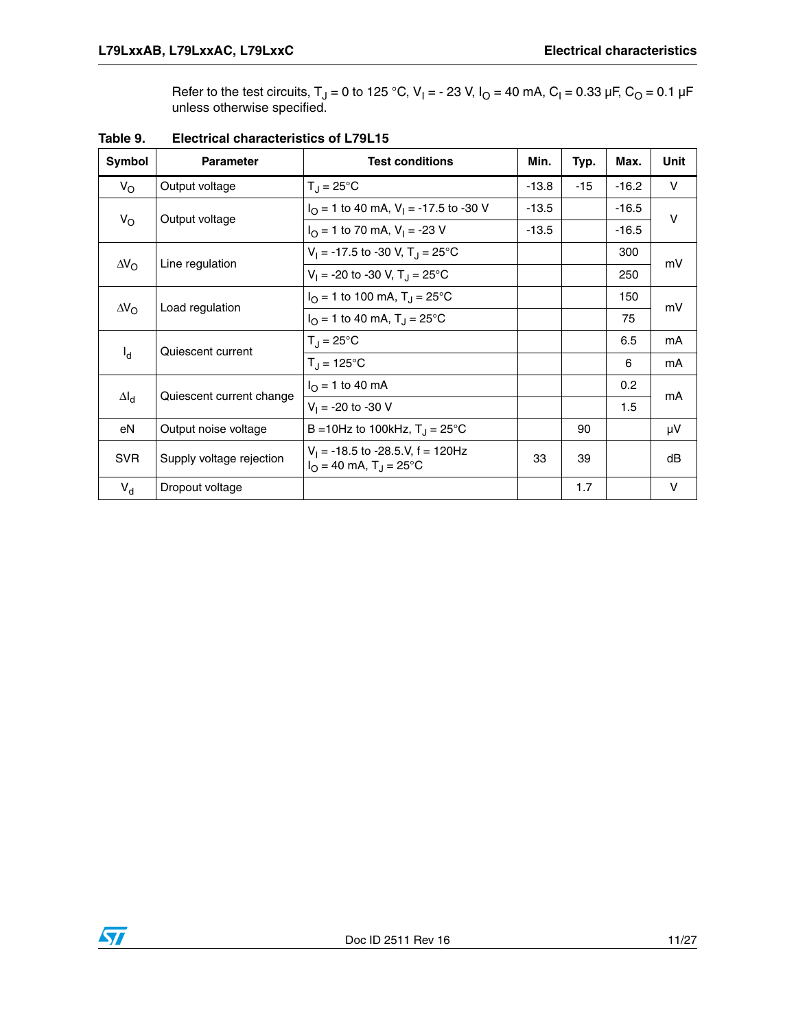Refer to the test circuits, T<sub>J</sub> = 0 to 125 °C, V<sub>I</sub> = - 23 V, I<sub>O</sub> = 40 mA, C<sub>I</sub> = 0.33 µF, C<sub>O</sub> = 0.1 µF unless otherwise specified.

| Symbol             | <b>Parameter</b>                      | <b>Test conditions</b>                                                             | Min.    | Typ.  | Max.    | Unit   |
|--------------------|---------------------------------------|------------------------------------------------------------------------------------|---------|-------|---------|--------|
| $V_{\rm O}$        | Output voltage                        | $T_J = 25^{\circ}C$                                                                | $-13.8$ | $-15$ | $-16.2$ | V      |
|                    | Output voltage                        | $I_{\Omega}$ = 1 to 40 mA, V <sub>1</sub> = -17.5 to -30 V                         | $-13.5$ |       | $-16.5$ | $\vee$ |
| $V_{\rm O}$        |                                       | $I_{\Omega}$ = 1 to 70 mA, V <sub>1</sub> = -23 V                                  | $-13.5$ |       | $-16.5$ |        |
|                    |                                       | $V_1 = -17.5$ to -30 V, T <sub>J</sub> = 25 °C                                     |         |       | 300     | mV     |
| $\Delta V_{\rm O}$ | Line regulation                       | $V_1 = -20$ to -30 V, T <sub>J</sub> = 25 <sup>o</sup> C                           |         |       | 250     |        |
|                    | Load regulation<br>$\Delta V_{\rm O}$ | $I_{\Omega}$ = 1 to 100 mA, T <sub>J</sub> = 25°C                                  |         |       | 150     | mV     |
|                    |                                       | $I_{\Omega}$ = 1 to 40 mA, T <sub>J</sub> = 25 °C                                  |         |       | 75      |        |
|                    | Quiescent current                     | $T_{\rm J}$ = 25°C                                                                 |         |       | 6.5     | mA     |
| $I_d$              |                                       | $T_{\rm J} = 125^{\circ}C$                                                         |         |       | 6       | mA     |
| $\Delta I_d$       | Quiescent current change              | $I_{\Omega}$ = 1 to 40 mA                                                          |         |       | 0.2     | mA     |
|                    |                                       | $V_1 = -20$ to $-30$ V                                                             |         |       | 1.5     |        |
| eN                 | Output noise voltage                  | B = 10Hz to 100kHz, $T_{\rm J}$ = 25°C                                             |         | 90    |         | μV     |
| <b>SVR</b>         | Supply voltage rejection              | $V_1$ = -18.5 to -28.5.V, f = 120Hz<br>$I_{\Omega}$ = 40 mA, T <sub>J</sub> = 25°C | 33      | 39    |         | dB     |
| $V_{d}$            | Dropout voltage                       |                                                                                    |         | 1.7   |         | $\vee$ |

**Table 9. Electrical characteristics of L79L15**

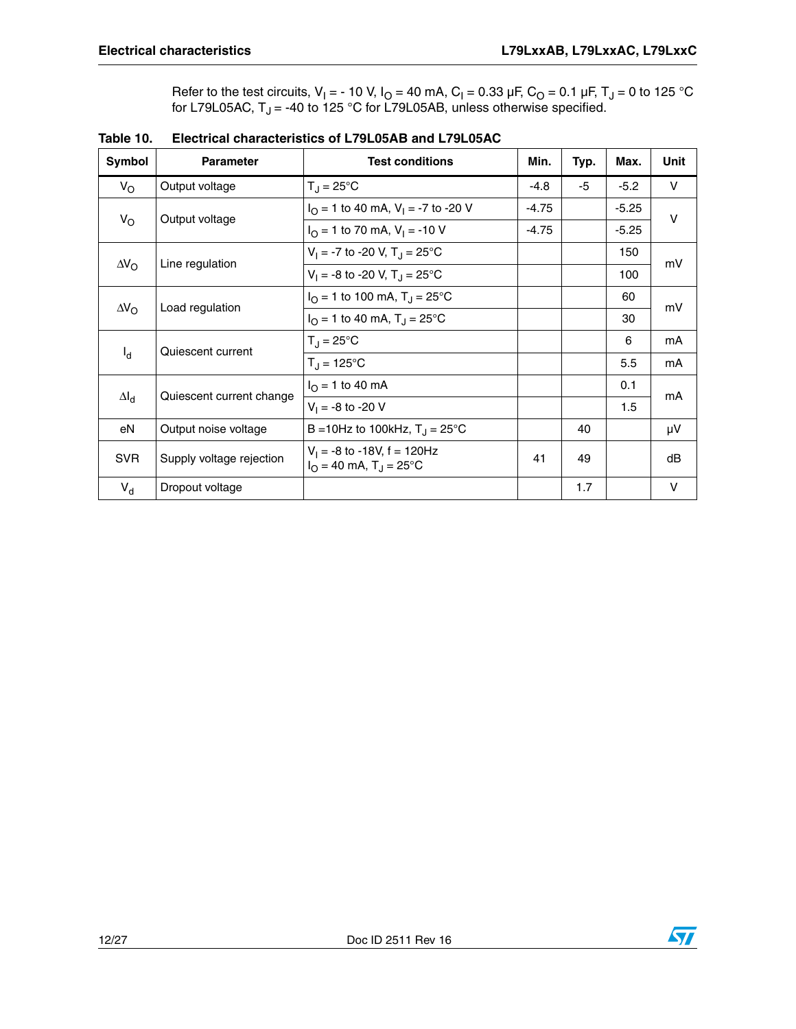Refer to the test circuits, V<sub>I</sub> = - 10 V, I<sub>O</sub> = 40 mA, C<sub>I</sub> = 0.33 µF, C<sub>O</sub> = 0.1 µF, T<sub>J</sub> = 0 to 125 °C for L79L05AC,  $\mathsf{T}_\mathsf{J}$  = -40 to 125 °C for L79L05AB, unless otherwise specified.

| Symbol             | <b>Parameter</b>         | <b>Test conditions</b>                                                       | Min.    | Typ. | Max.    | Unit   |
|--------------------|--------------------------|------------------------------------------------------------------------------|---------|------|---------|--------|
| $V_{\rm O}$        | Output voltage           | $T_J = 25^{\circ}C$                                                          | $-4.8$  | -5   | $-5.2$  | V      |
|                    |                          | $I_{\Omega}$ = 1 to 40 mA, V <sub>1</sub> = -7 to -20 V                      | $-4.75$ |      | $-5.25$ | $\vee$ |
| $V_{\rm O}$        | Output voltage           | $I_{\Omega}$ = 1 to 70 mA, $V_{\text{I}}$ = -10 V                            | $-4.75$ |      | $-5.25$ |        |
| $\Delta V_{\rm O}$ | Line regulation          | $V_1 = -7$ to -20 V, $T_{11} = 25^{\circ}$ C                                 |         |      | 150     | mV     |
|                    |                          | $V_1 = -8$ to -20 V, T <sub>J</sub> = 25 °C                                  |         |      | 100     |        |
|                    |                          | $I_{\Omega}$ = 1 to 100 mA, T <sub>J</sub> = 25°C                            |         |      | 60      | mV     |
| $\Delta V_{\rm O}$ | Load regulation          | $I_{\Omega}$ = 1 to 40 mA, T <sub>J</sub> = 25 °C                            |         |      | 30      |        |
|                    | Quiescent current        | $T_{\rm J}$ = 25°C                                                           |         |      | 6       | mA     |
| $I_{\rm d}$        |                          | $T_{\rm d} = 125^{\circ}C$                                                   |         |      | 5.5     | mA     |
|                    | Quiescent current change | $I_{\Omega}$ = 1 to 40 mA                                                    |         |      | 0.1     | mA     |
| $\Delta I_d$       |                          | $V_1 = -8$ to $-20$ V                                                        |         |      | 1.5     |        |
| eN                 | Output noise voltage     | B = 10Hz to 100kHz, $T_{\rm J}$ = 25°C                                       |         | 40   |         | μV     |
| <b>SVR</b>         | Supply voltage rejection | $V_1 = -8$ to -18V, f = 120Hz<br>$I_{\Omega}$ = 40 mA, T <sub>J</sub> = 25°C | 41      | 49   |         | dB     |
| $V_{d}$            | Dropout voltage          |                                                                              |         | 1.7  |         | $\vee$ |

| Table 10. | Electrical characteristics of L79L05AB and L79L05AC |
|-----------|-----------------------------------------------------|
|           |                                                     |

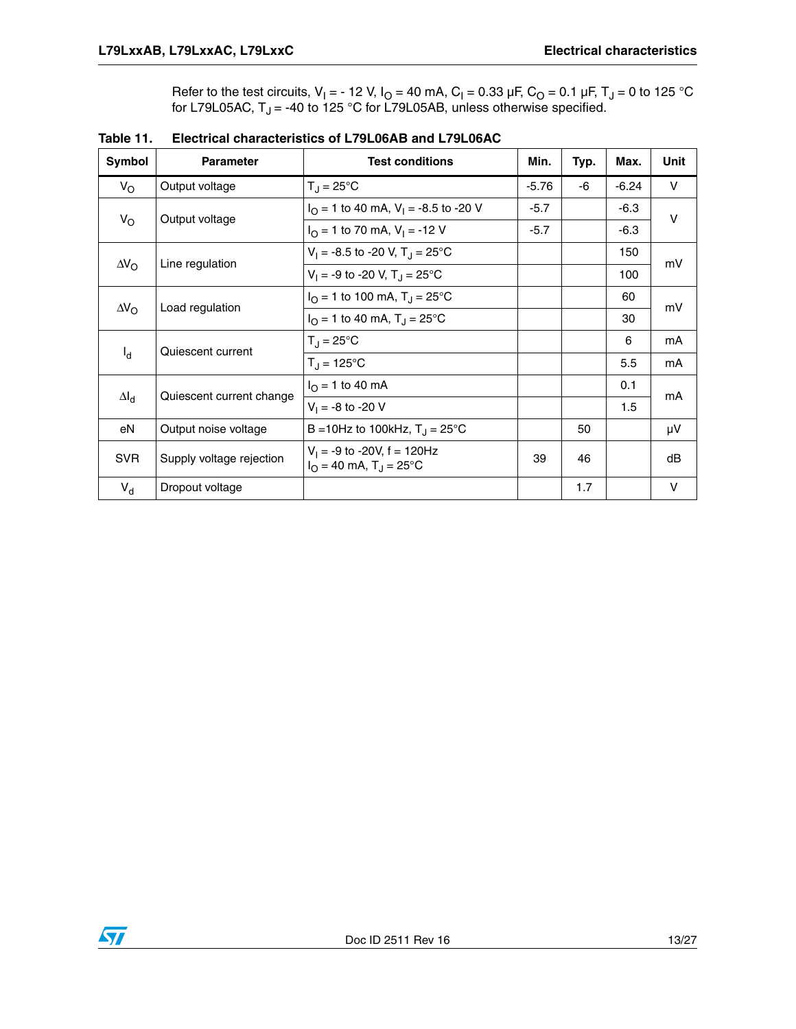Refer to the test circuits, V<sub>I</sub> = - 12 V, I<sub>O</sub> = 40 mA, C<sub>I</sub> = 0.33 µF, C<sub>O</sub> = 0.1 µF, T<sub>J</sub> = 0 to 125 °C for L79L05AC,  $\mathsf{T}_\mathsf{J}$  = -40 to 125 °C for L79L05AB, unless otherwise specified.

| Symbol             | <b>Parameter</b>         | <b>Test conditions</b>                                                       | Min.    | Typ. | Max.    | Unit   |
|--------------------|--------------------------|------------------------------------------------------------------------------|---------|------|---------|--------|
| $V_{\rm O}$        | Output voltage           | $T_{\rm J}$ = 25°C                                                           | $-5.76$ | -6   | $-6.24$ | V      |
|                    |                          | $IO = 1$ to 40 mA, $VI = -8.5$ to -20 V                                      | $-5.7$  |      | $-6.3$  | $\vee$ |
| $V_{\rm O}$        | Output voltage           | $I_{\Omega}$ = 1 to 70 mA, $V_{\text{I}}$ = -12 V                            | $-5.7$  |      | $-6.3$  |        |
| $\Delta V_{\rm O}$ | Line regulation          | $V_1 = -8.5$ to -20 V, T <sub>J</sub> = 25 °C                                |         |      | 150     | mV     |
|                    |                          | $V_1 = -9$ to -20 V, T <sub>J</sub> = 25 <sup>°</sup> C                      |         |      | 100     |        |
|                    | Load regulation          | $I_{\Omega}$ = 1 to 100 mA, T <sub>J</sub> = 25°C                            |         |      | 60      | mV     |
| $\Delta V_{\rm O}$ |                          | $I_{\Omega}$ = 1 to 40 mA, T <sub>J</sub> = 25 °C                            |         |      | 30      |        |
|                    | Quiescent current        | $T_{\rm J}$ = 25°C                                                           |         |      | 6       | mA     |
| $I_d$              |                          | $T_{\rm d}$ = 125°C                                                          |         |      | 5.5     | mA     |
|                    | Quiescent current change | $I_{\Omega}$ = 1 to 40 mA                                                    |         |      | 0.1     | mA     |
| $\Delta I_d$       |                          | $V_1 = -8$ to $-20$ V                                                        |         |      | 1.5     |        |
| eN                 | Output noise voltage     | B = 10Hz to 100kHz, $T_{\rm J}$ = 25°C                                       |         | 50   |         | μV     |
| <b>SVR</b>         | Supply voltage rejection | $V_1 = -9$ to -20V, f = 120Hz<br>$I_{\Omega}$ = 40 mA, T <sub>J</sub> = 25°C | 39      | 46   |         | dB     |
| $V_{d}$            | Dropout voltage          |                                                                              |         | 1.7  |         | $\vee$ |

**Table 11. Electrical characteristics of L79L06AB and L79L06AC**

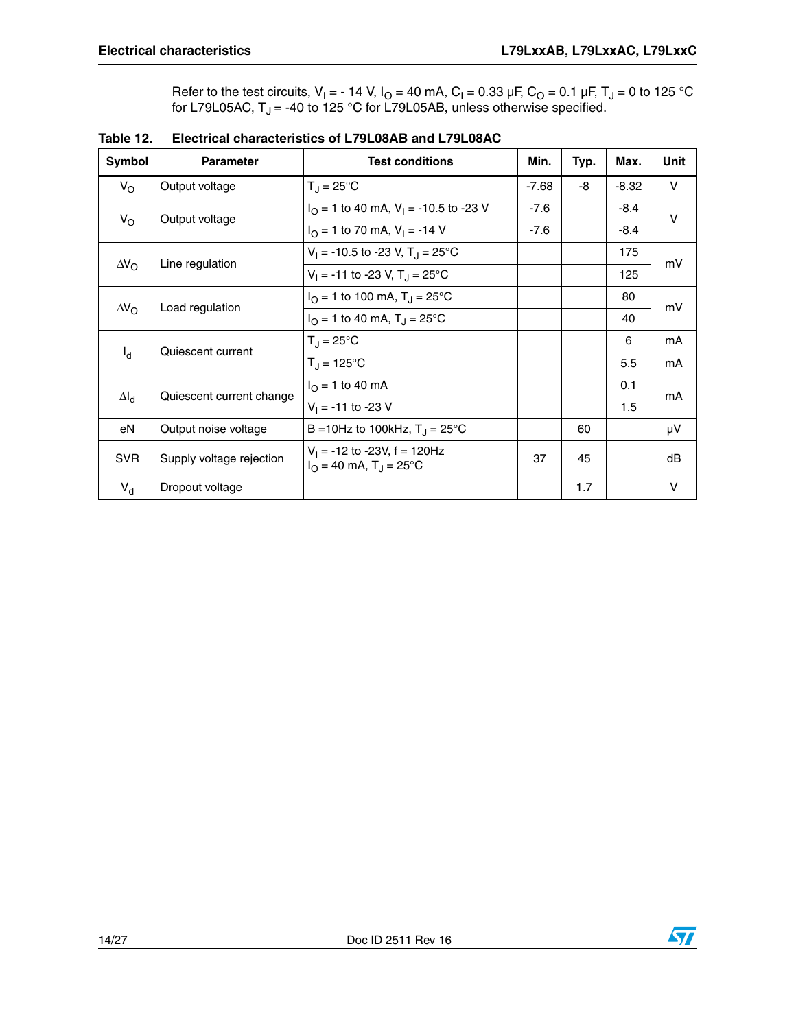Refer to the test circuits, V<sub>I</sub> = - 14 V, I<sub>O</sub> = 40 mA, C<sub>I</sub> = 0.33 µF, C<sub>O</sub> = 0.1 µF, T<sub>J</sub> = 0 to 125 °C for L79L05AC,  $\mathsf{T}_\mathsf{J}$  = -40 to 125 °C for L79L05AB, unless otherwise specified.

| <b>Symbol</b>      | <b>Parameter</b>         | <b>Test conditions</b>                                                        | Min.    | Typ. | Max.    | <b>Unit</b>  |
|--------------------|--------------------------|-------------------------------------------------------------------------------|---------|------|---------|--------------|
| $V_{\rm O}$        | Output voltage           | $T_{\rm J} = 25^{\circ}C$                                                     | $-7.68$ | -8   | $-8.32$ | $\mathsf{V}$ |
|                    |                          | $I_{\Omega}$ = 1 to 40 mA, V <sub>1</sub> = -10.5 to -23 V                    | $-7.6$  |      | $-8.4$  | V            |
| $V_{\rm O}$        | Output voltage           | $I_{\Omega}$ = 1 to 70 mA, V <sub>1</sub> = -14 V                             | $-7.6$  |      | $-8.4$  |              |
|                    |                          | $V_1 = -10.5$ to -23 V, T <sub>J</sub> = 25°C                                 |         |      | 175     | mV           |
| $\Delta V_{\rm O}$ | Line regulation          | $V_1 = -11$ to -23 V, T <sub>J</sub> = 25°C                                   |         |      | 125     |              |
|                    |                          | $I_{\Omega}$ = 1 to 100 mA, T <sub>J</sub> = 25°C                             |         |      | 80      | mV           |
| $\Delta V_{\rm O}$ | Load regulation          | $I_{\Omega}$ = 1 to 40 mA, T <sub>J</sub> = 25 °C                             |         |      | 40      |              |
|                    | Quiescent current        | $T_{\rm J} = 25^{\circ}$ C                                                    |         |      | 6       | mA           |
| $I_d$              |                          | $T_{\rm J} = 125^{\circ}C$                                                    |         |      | 5.5     | mA           |
|                    | Quiescent current change | $I_{\Omega}$ = 1 to 40 mA                                                     |         |      | 0.1     | mA           |
| $\Delta I_d$       |                          | $V_1 = -11$ to -23 V                                                          |         |      | 1.5     |              |
| eN                 | Output noise voltage     | B = 10Hz to 100kHz, $T_{\rm J}$ = 25°C                                        |         | 60   |         | μV           |
| <b>SVR</b>         | Supply voltage rejection | $V_1$ = -12 to -23V, f = 120Hz<br>$I_{\Omega}$ = 40 mA, T <sub>J</sub> = 25°C | 37      | 45   |         | dB           |
| $V_{d}$            | Dropout voltage          |                                                                               |         | 1.7  |         | $\vee$       |

|  | Table 12. Electrical characteristics of L79L08AB and L79L08AC |
|--|---------------------------------------------------------------|
|  |                                                               |

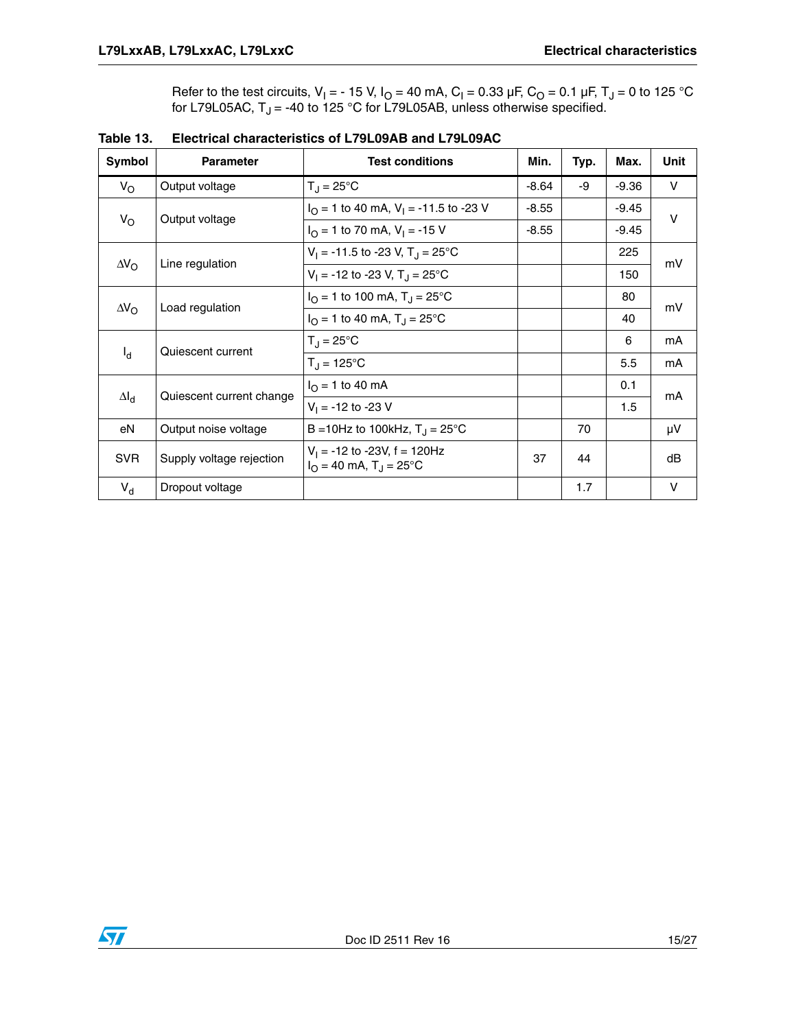Refer to the test circuits, V<sub>I</sub> = - 15 V, I<sub>O</sub> = 40 mA, C<sub>I</sub> = 0.33 µF, C<sub>O</sub> = 0.1 µF, T<sub>J</sub> = 0 to 125 °C for L79L05AC,  $\mathsf{T}_\mathsf{J}$  = -40 to 125 °C for L79L05AB, unless otherwise specified.

| Symbol             | <b>Parameter</b>         | <b>Test conditions</b>                                                        | Min.    | Typ. | Max.    | <b>Unit</b> |
|--------------------|--------------------------|-------------------------------------------------------------------------------|---------|------|---------|-------------|
| $V_{\rm O}$        | Output voltage           | $T_{\rm J} = 25^{\circ}$ C                                                    | $-8.64$ | -9   | $-9.36$ | V           |
|                    |                          | $IO = 1$ to 40 mA, V <sub>1</sub> = -11.5 to -23 V                            | $-8.55$ |      | $-9.45$ | $\vee$      |
| $V_{\rm O}$        | Output voltage           | $I_{\Omega}$ = 1 to 70 mA, V <sub>1</sub> = -15 V                             | $-8.55$ |      | $-9.45$ |             |
|                    |                          | $V_1 = -11.5$ to -23 V, T <sub>J</sub> = 25 °C                                |         |      | 225     | mV          |
| $\Delta V_{\rm O}$ | Line regulation          | $V_1 = -12$ to -23 V, T <sub>J</sub> = 25 °C                                  |         |      | 150     |             |
|                    |                          | $I_{\Omega}$ = 1 to 100 mA, T <sub>J</sub> = 25°C                             |         |      | 80      | mV          |
| $\Delta V_{\rm O}$ | Load regulation          | $I_{\Omega}$ = 1 to 40 mA, T <sub>J</sub> = 25 °C                             |         |      | 40      |             |
|                    | Quiescent current        | $T_{\rm J} = 25^{\circ}$ C                                                    |         |      | 6       | mA          |
| $I_d$              |                          | $T_{\rm d} = 125^{\circ}C$                                                    |         |      | 5.5     | mA          |
|                    | Quiescent current change | $I_{\Omega}$ = 1 to 40 mA                                                     |         |      | 0.1     | mA          |
| $\Delta I_d$       |                          | $V_1 = -12$ to -23 V                                                          |         |      | 1.5     |             |
| eN                 | Output noise voltage     | B = 10Hz to 100kHz, $T_{\rm J}$ = 25°C                                        |         | 70   |         | μV          |
| <b>SVR</b>         | Supply voltage rejection | $V_1 = -12$ to -23V, f = 120Hz<br>$I_{\Omega}$ = 40 mA, T <sub>J</sub> = 25°C | 37      | 44   |         | dB          |
| $V_{d}$            | Dropout voltage          |                                                                               |         | 1.7  |         | $\vee$      |

**Table 13. Electrical characteristics of L79L09AB and L79L09AC**

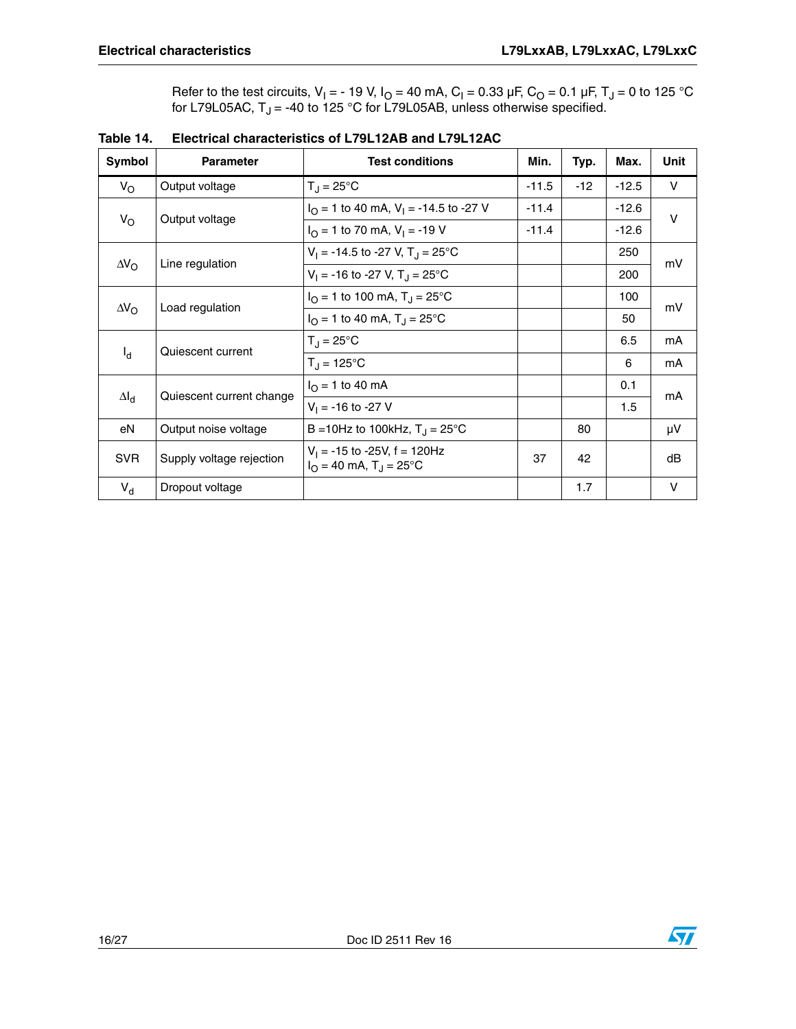Refer to the test circuits, V<sub>I</sub> = - 19 V, I<sub>O</sub> = 40 mA, C<sub>I</sub> = 0.33 µF, C<sub>O</sub> = 0.1 µF, T<sub>J</sub> = 0 to 125 °C for L79L05AC,  $\mathsf{T}_\mathsf{J}$  = -40 to 125 °C for L79L05AB, unless otherwise specified.

| <b>Symbol</b>      | <b>Parameter</b>         | <b>Test conditions</b>                                                           | Min.    | Typ.  | Max.    | Unit         |
|--------------------|--------------------------|----------------------------------------------------------------------------------|---------|-------|---------|--------------|
| $V_{\rm O}$        | Output voltage           | $T_{\rm J}$ = 25°C                                                               | $-11.5$ | $-12$ | $-12.5$ | $\mathsf{V}$ |
|                    |                          | $I_{\Omega}$ = 1 to 40 mA, V <sub>1</sub> = -14.5 to -27 V                       | $-11.4$ |       | $-12.6$ | V            |
| $V_{\rm O}$        | Output voltage           | $I_{\Omega}$ = 1 to 70 mA, $V_{\text{I}}$ = -19 V                                | $-11.4$ |       | $-12.6$ |              |
|                    |                          | $V_1 = -14.5$ to -27 V, T <sub>J</sub> = 25 °C                                   |         |       | 250     | mV           |
| $\Delta V_{\rm O}$ | Line regulation          | $V_1 = -16$ to -27 V, T <sub>J</sub> = 25 °C                                     |         |       | 200     |              |
|                    |                          | $I_{\Omega}$ = 1 to 100 mA, T <sub>J</sub> = 25°C                                |         |       | 100     | mV           |
| $\Delta V_{\rm O}$ | Load regulation          | $I_{\Omega}$ = 1 to 40 mA, T <sub>J</sub> = 25 °C                                |         |       | 50      |              |
|                    | Quiescent current        | $T_{\rm J} = 25^{\circ}$ C                                                       |         |       | 6.5     | mA           |
| $I_d$              |                          | $T_{\rm J} = 125^{\circ}C$                                                       |         |       | 6       | mA           |
|                    |                          | $I_{\Omega}$ = 1 to 40 mA                                                        |         |       | 0.1     | mA           |
| $\Delta I_d$       | Quiescent current change | $V_1 = -16$ to -27 V                                                             |         |       | 1.5     |              |
| eN                 | Output noise voltage     | B = 10Hz to 100kHz, $T_{\rm J}$ = 25°C                                           |         | 80    |         | μV           |
| <b>SVR</b>         | Supply voltage rejection | $V_1 = -15$ to -25V, $f = 120$ Hz<br>$I_{\Omega}$ = 40 mA, T <sub>J</sub> = 25°C | 37      | 42    |         | dB           |
| $V_{d}$            | Dropout voltage          |                                                                                  |         | 1.7   |         | $\vee$       |

| Table 14. | <b>Electrical characteristics of L79L12AB and L79L12AC</b> |
|-----------|------------------------------------------------------------|
|           |                                                            |

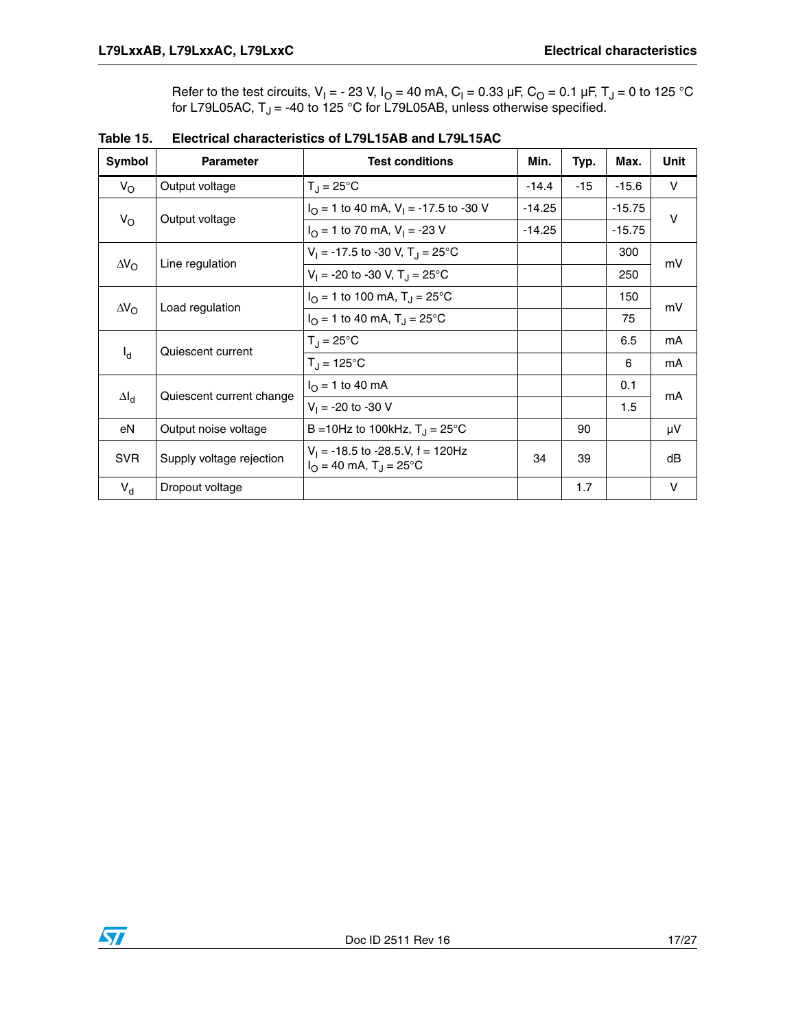Refer to the test circuits, V<sub>I</sub> = - 23 V, I<sub>O</sub> = 40 mA, C<sub>I</sub> = 0.33 µF, C<sub>O</sub> = 0.1 µF, T<sub>J</sub> = 0 to 125 °C for L79L05AC,  $\mathsf{T}_\mathsf{J}$  = -40 to 125 °C for L79L05AB, unless otherwise specified.

| Symbol             | <b>Parameter</b>         | <b>Test conditions</b>                                              | Min.     | Typ.  | Max.     | <b>Unit</b> |
|--------------------|--------------------------|---------------------------------------------------------------------|----------|-------|----------|-------------|
| $V_{\rm O}$        | Output voltage           | $T_{\rm J}$ = 25°C                                                  | $-14.4$  | $-15$ | $-15.6$  | $\vee$      |
|                    |                          | $IO = 1$ to 40 mA, V <sub>1</sub> = -17.5 to -30 V                  | $-14.25$ |       | $-15.75$ | $\vee$      |
| $V_{\rm O}$        | Output voltage           | $I_{\Omega}$ = 1 to 70 mA, V <sub>1</sub> = -23 V                   | $-14.25$ |       | $-15.75$ |             |
|                    |                          | $V_1 = -17.5$ to -30 V, T <sub>J</sub> = 25 °C                      |          |       | 300      | mV          |
| $\Delta V_{\rm O}$ | Line regulation          | $V_1 = -20$ to -30 V, T <sub>J</sub> = 25°C                         |          |       | 250      |             |
|                    |                          | $I_{\Omega}$ = 1 to 100 mA, T <sub>J</sub> = 25°C                   |          |       | 150      | mV          |
| $\Delta V_{\rm O}$ | Load regulation          | $I_{\Omega}$ = 1 to 40 mA, T <sub>J</sub> = 25°C                    |          |       | 75       |             |
|                    | Quiescent current        | $T_{\text{d}} = 25^{\circ}C$                                        |          |       | 6.5      | mA          |
| $I_d$              |                          | $T_{\rm d} = 125^{\circ}C$                                          |          |       | 6        | mA          |
|                    | Quiescent current change | $I_{\Omega}$ = 1 to 40 mA                                           |          |       | 0.1      | mA          |
| $\Delta I_d$       |                          | $V_1 = -20$ to $-30$ V                                              |          |       | 1.5      |             |
| eN                 | Output noise voltage     | B = 10Hz to 100kHz, $T_{\rm J}$ = 25°C                              |          | 90    |          | μV          |
| <b>SVR</b>         | Supply voltage rejection | $V_1$ = -18.5 to -28.5.V, f = 120Hz<br>$I_O = 40$ mA, $T_J = 25$ °C | 34       | 39    |          | dB          |
| $V_{d}$            | Dropout voltage          |                                                                     |          | 1.7   |          | $\vee$      |

**Table 15. Electrical characteristics of L79L15AB and L79L15AC** 

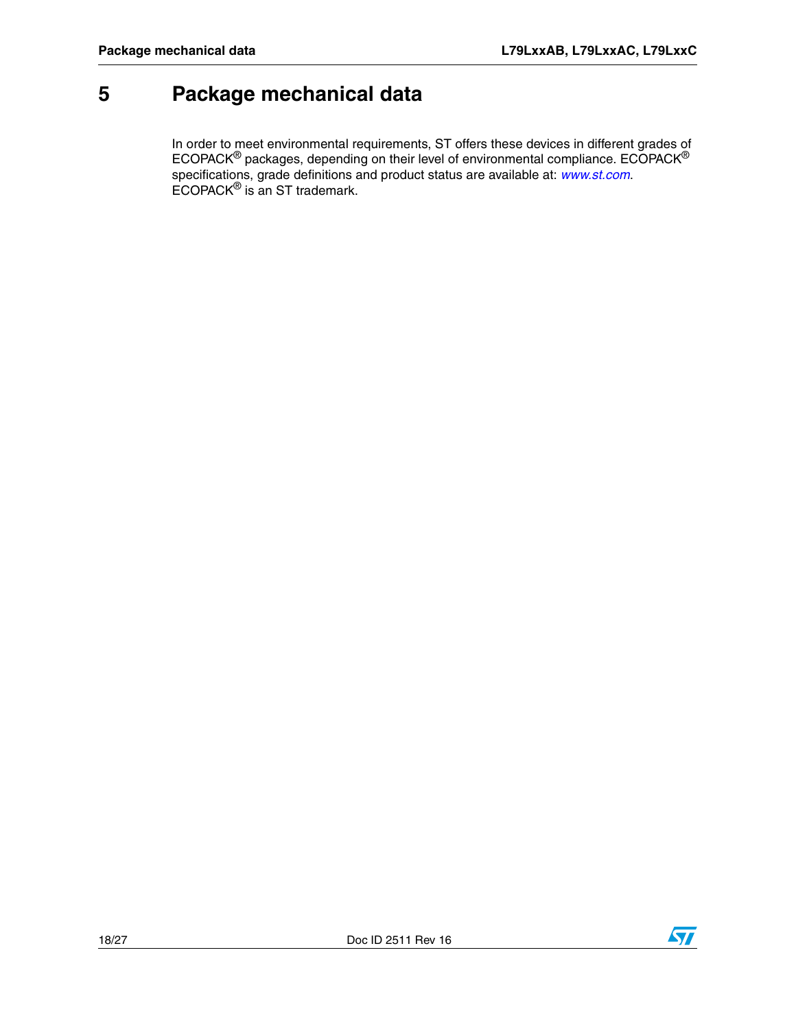# <span id="page-18-0"></span>**5 Package mechanical data**

In order to meet environmental requirements, ST offers these devic[es in differen](http://www.st.com)t grades of  $\mathsf{ECOPACK}^{\circledast}$  packages, depending on their level of environmental compliance.  $\mathsf{ECOPACK}^{\circledast}$ specifications, grade definitions and product status are available at: *www.st.com*. ECOPACK® is an ST trademark.

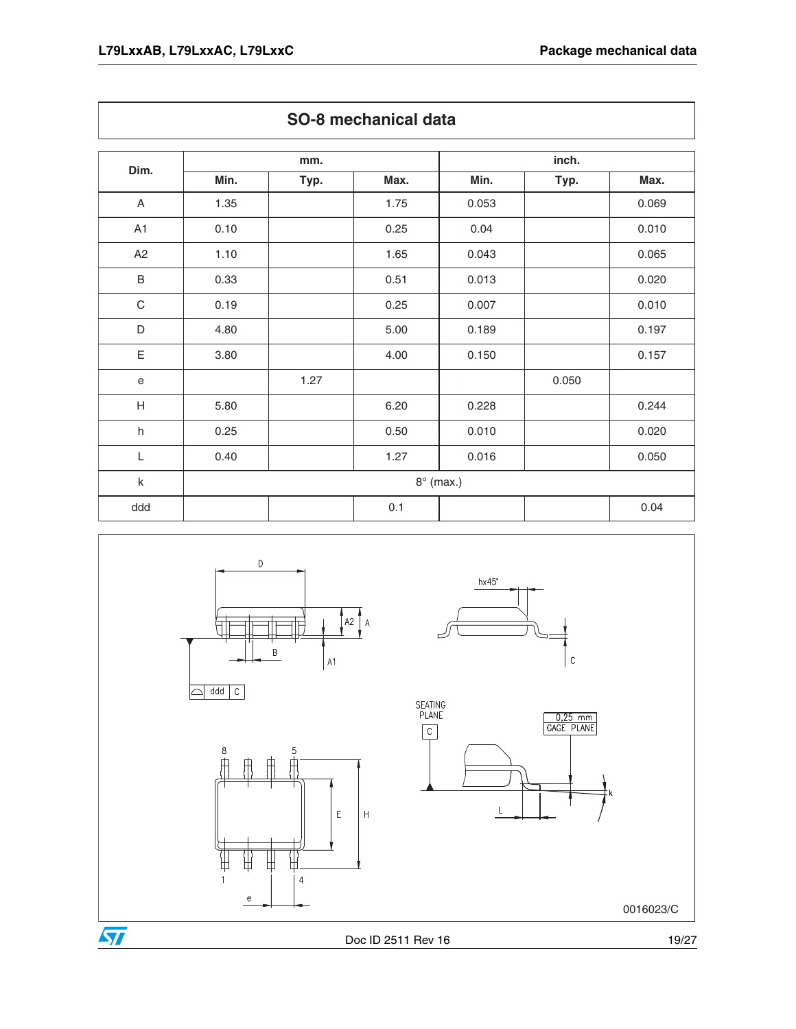|                           | mm.  |      |                  | inch. |       |       |
|---------------------------|------|------|------------------|-------|-------|-------|
| Dim.                      | Min. | Typ. | Max.             | Min.  | Typ.  | Max.  |
| A                         | 1.35 |      | 1.75             | 0.053 |       | 0.069 |
| A1                        | 0.10 |      | 0.25             | 0.04  |       | 0.010 |
| A2                        | 1.10 |      | 1.65             | 0.043 |       | 0.065 |
| $\sf B$                   | 0.33 |      | 0.51             | 0.013 |       | 0.020 |
| $\mathsf C$               | 0.19 |      | 0.25             | 0.007 |       | 0.010 |
| D                         | 4.80 |      | 5.00             | 0.189 |       | 0.197 |
| E                         | 3.80 |      | 4.00             | 0.150 |       | 0.157 |
| $\mathsf e$               |      | 1.27 |                  |       | 0.050 |       |
| $\boldsymbol{\mathsf{H}}$ | 5.80 |      | 6.20             | 0.228 |       | 0.244 |
| $\sf h$                   | 0.25 |      | 0.50             | 0.010 |       | 0.020 |
| L                         | 0.40 |      | 1.27             | 0.016 |       | 0.050 |
| $\sf k$                   |      |      | $8^\circ$ (max.) |       |       |       |
| ddd                       |      |      | 0.1              |       |       | 0.04  |



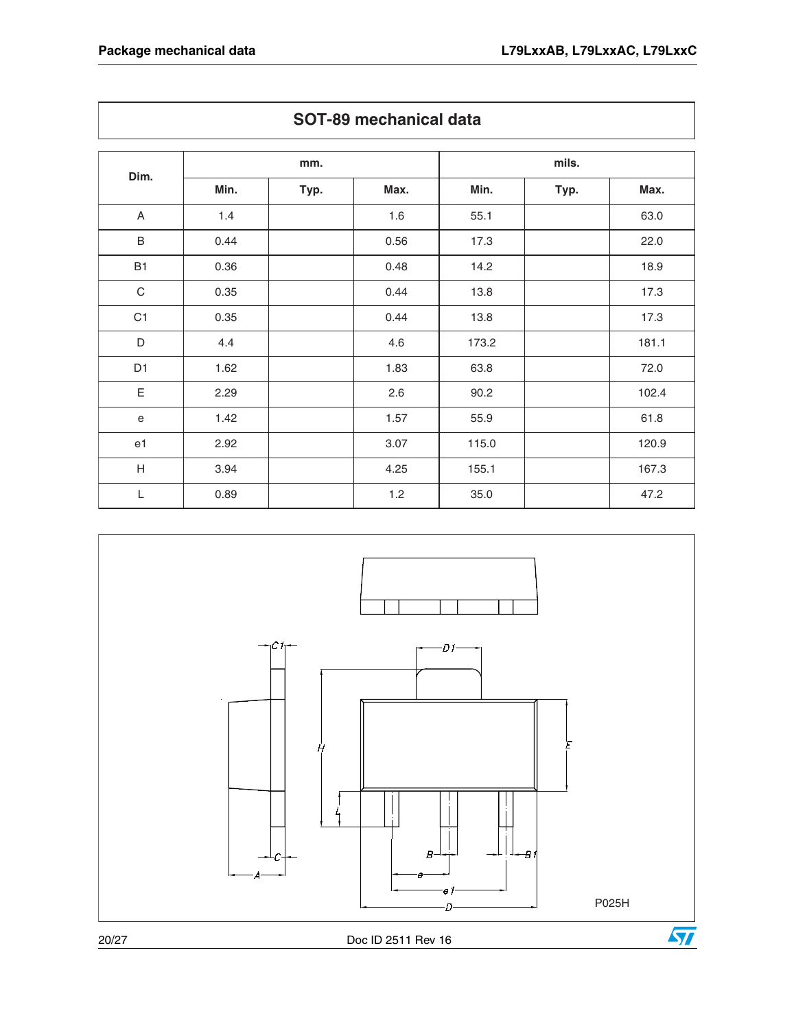|                           |      | mm.  |       |       | mils. |       |  |
|---------------------------|------|------|-------|-------|-------|-------|--|
| Dim.                      | Min. | Typ. | Max.  | Min.  | Typ.  | Max.  |  |
| $\boldsymbol{\mathsf{A}}$ | 1.4  |      | 1.6   | 55.1  |       | 63.0  |  |
| $\sf B$                   | 0.44 |      | 0.56  | 17.3  |       | 22.0  |  |
| <b>B1</b>                 | 0.36 |      | 0.48  | 14.2  |       | 18.9  |  |
| $\mathbf C$               | 0.35 |      | 0.44  | 13.8  |       | 17.3  |  |
| C <sub>1</sub>            | 0.35 |      | 0.44  | 13.8  |       | 17.3  |  |
| $\mathsf D$               | 4.4  |      | 4.6   | 173.2 |       | 181.1 |  |
| D <sub>1</sub>            | 1.62 |      | 1.83  | 63.8  |       | 72.0  |  |
| $\mathsf E$               | 2.29 |      | 2.6   | 90.2  |       | 102.4 |  |
| ${\bf e}$                 | 1.42 |      | 1.57  | 55.9  |       | 61.8  |  |
| e <sub>1</sub>            | 2.92 |      | 3.07  | 115.0 |       | 120.9 |  |
| $\boldsymbol{\mathsf{H}}$ | 3.94 |      | 4.25  | 155.1 |       | 167.3 |  |
| L                         | 0.89 |      | $1.2$ | 35.0  |       | 47.2  |  |

**SOT-89 mechanical data**



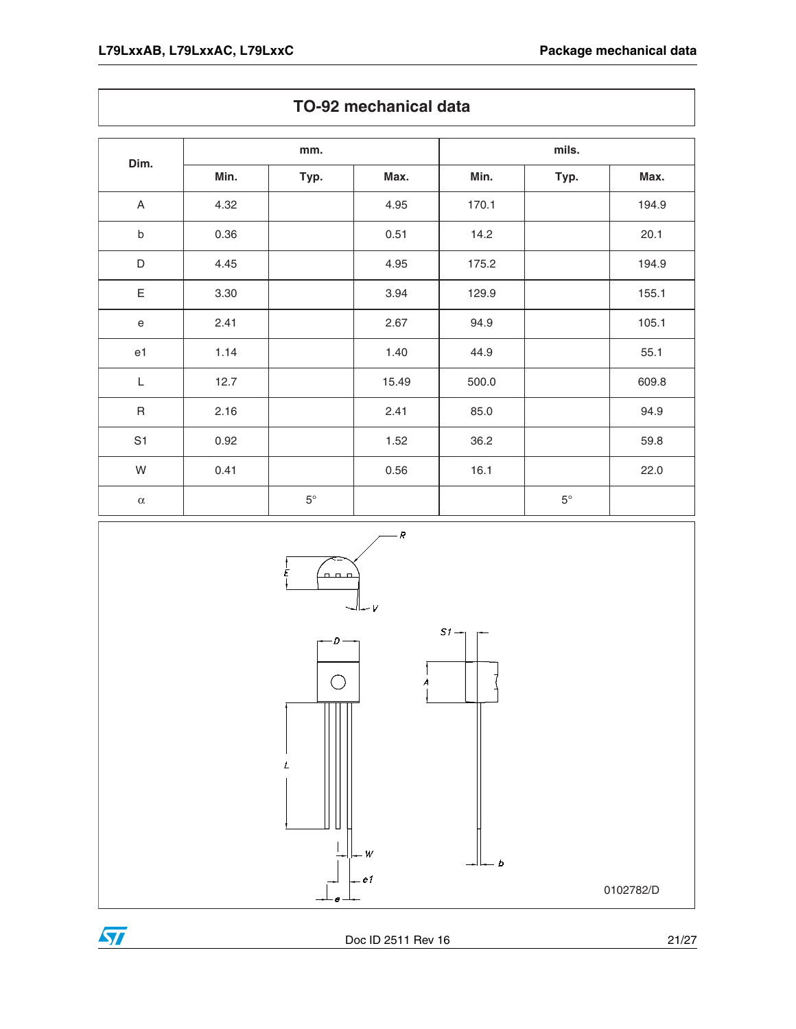$\sqrt{2}$ 

| Dim.                                       | mm.  |             |       |       |             |       |
|--------------------------------------------|------|-------------|-------|-------|-------------|-------|
|                                            | Min. | Typ.        | Max.  | Min.  | Typ.        | Max.  |
| A                                          | 4.32 |             | 4.95  | 170.1 |             | 194.9 |
| $\sf b$                                    | 0.36 |             | 0.51  | 14.2  |             | 20.1  |
| D                                          | 4.45 |             | 4.95  | 175.2 |             | 194.9 |
| Ε                                          | 3.30 |             | 3.94  | 129.9 |             | 155.1 |
| $\mathsf{e}% _{0}\left( \mathsf{e}\right)$ | 2.41 |             | 2.67  | 94.9  |             | 105.1 |
| e1                                         | 1.14 |             | 1.40  | 44.9  |             | 55.1  |
| $\mathsf L$                                | 12.7 |             | 15.49 | 500.0 |             | 609.8 |
| $\sf R$                                    | 2.16 |             | 2.41  | 85.0  |             | 94.9  |
| S <sub>1</sub>                             | 0.92 |             | 1.52  | 36.2  |             | 59.8  |
| W                                          | 0.41 |             | 0.56  | 16.1  |             | 22.0  |
| $\alpha$                                   |      | $5^{\circ}$ |       |       | $5^{\circ}$ |       |



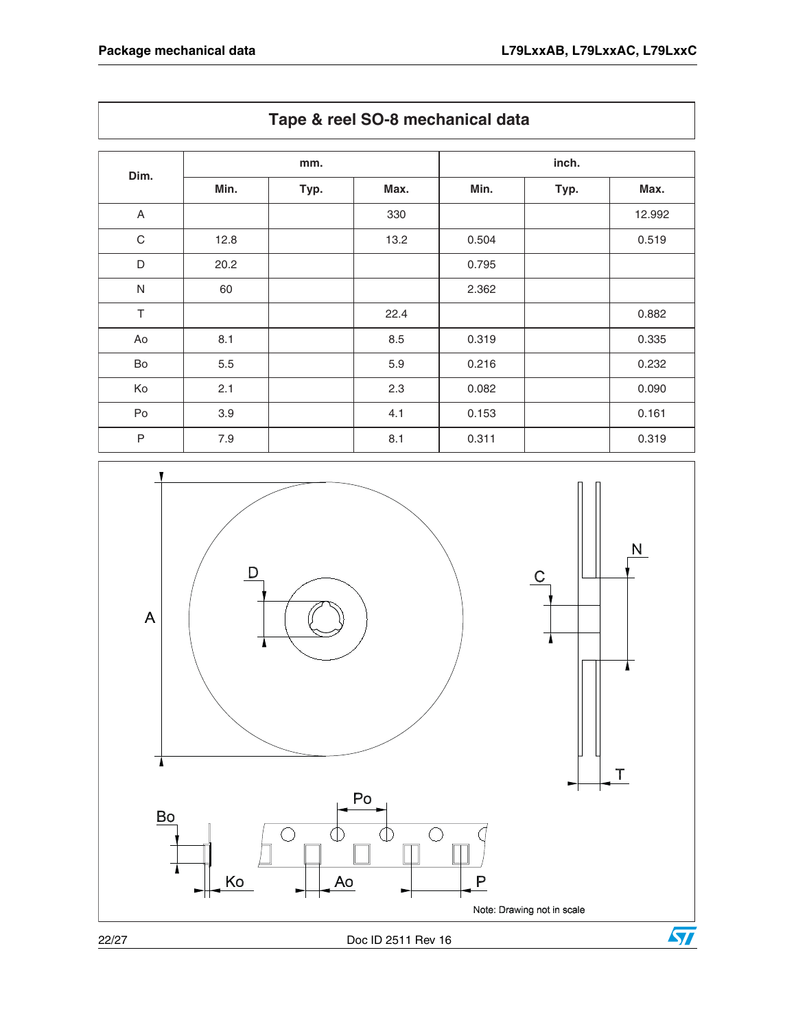| Tape & reel SO-8 mechanical data |      |      |      |       |      |        |
|----------------------------------|------|------|------|-------|------|--------|
| Dim.                             | mm.  |      |      | inch. |      |        |
|                                  | Min. | Typ. | Max. | Min.  | Typ. | Max.   |
| A                                |      |      | 330  |       |      | 12.992 |
| $\mathsf C$                      | 12.8 |      | 13.2 | 0.504 |      | 0.519  |
| D                                | 20.2 |      |      | 0.795 |      |        |
| $\mathsf{N}$                     | 60   |      |      | 2.362 |      |        |
| T                                |      |      | 22.4 |       |      | 0.882  |
| Ao                               | 8.1  |      | 8.5  | 0.319 |      | 0.335  |
| Bo                               | 5.5  |      | 5.9  | 0.216 |      | 0.232  |
| Ko                               | 2.1  |      | 2.3  | 0.082 |      | 0.090  |
| Po                               | 3.9  |      | 4.1  | 0.153 |      | 0.161  |
| P                                | 7.9  |      | 8.1  | 0.311 |      | 0.319  |



22/27 Doc ID 2511 Rev 16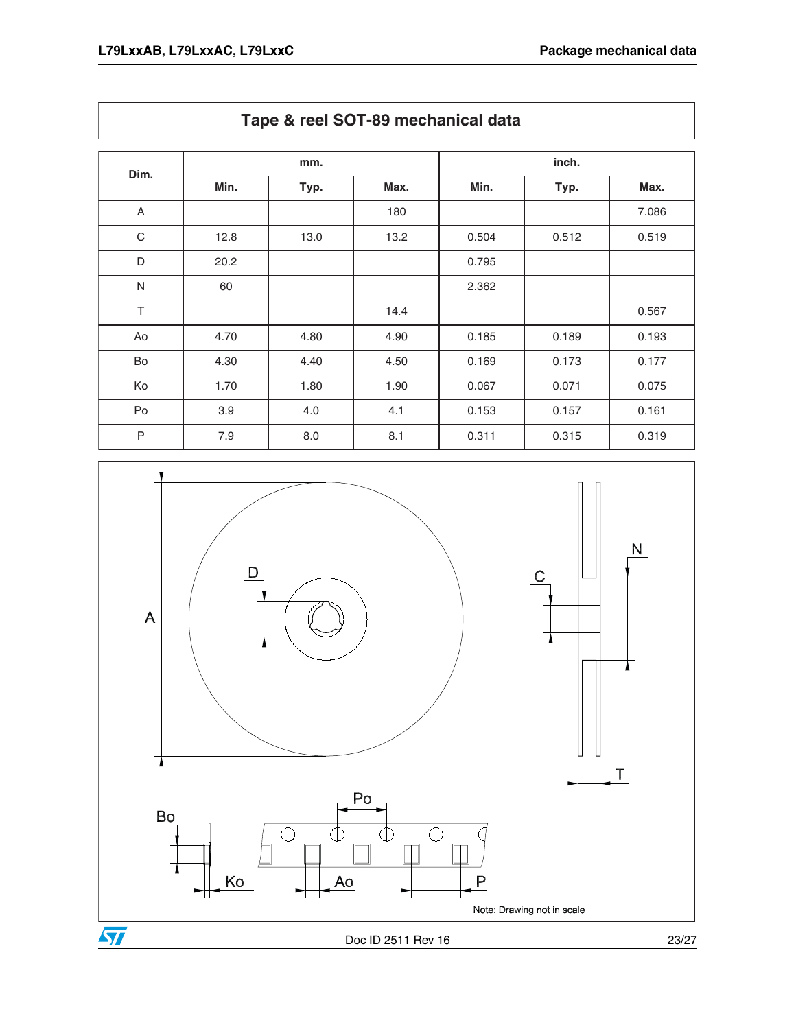| Dim.         | mm.  |      |      | inch. |       |       |
|--------------|------|------|------|-------|-------|-------|
|              | Min. | Typ. | Max. | Min.  | Typ.  | Max.  |
| A            |      |      | 180  |       |       | 7.086 |
| $\mathsf C$  | 12.8 | 13.0 | 13.2 | 0.504 | 0.512 | 0.519 |
| D            | 20.2 |      |      | 0.795 |       |       |
| $\mathsf{N}$ | 60   |      |      | 2.362 |       |       |
| T            |      |      | 14.4 |       |       | 0.567 |
| Ao           | 4.70 | 4.80 | 4.90 | 0.185 | 0.189 | 0.193 |
| Bo           | 4.30 | 4.40 | 4.50 | 0.169 | 0.173 | 0.177 |
| Ko           | 1.70 | 1.80 | 1.90 | 0.067 | 0.071 | 0.075 |
| Po           | 3.9  | 4.0  | 4.1  | 0.153 | 0.157 | 0.161 |
| P            | 7.9  | 8.0  | 8.1  | 0.311 | 0.315 | 0.319 |



**Tape & reel SOT-89 mechanical data**

Doc ID 2511 Rev 16 23/27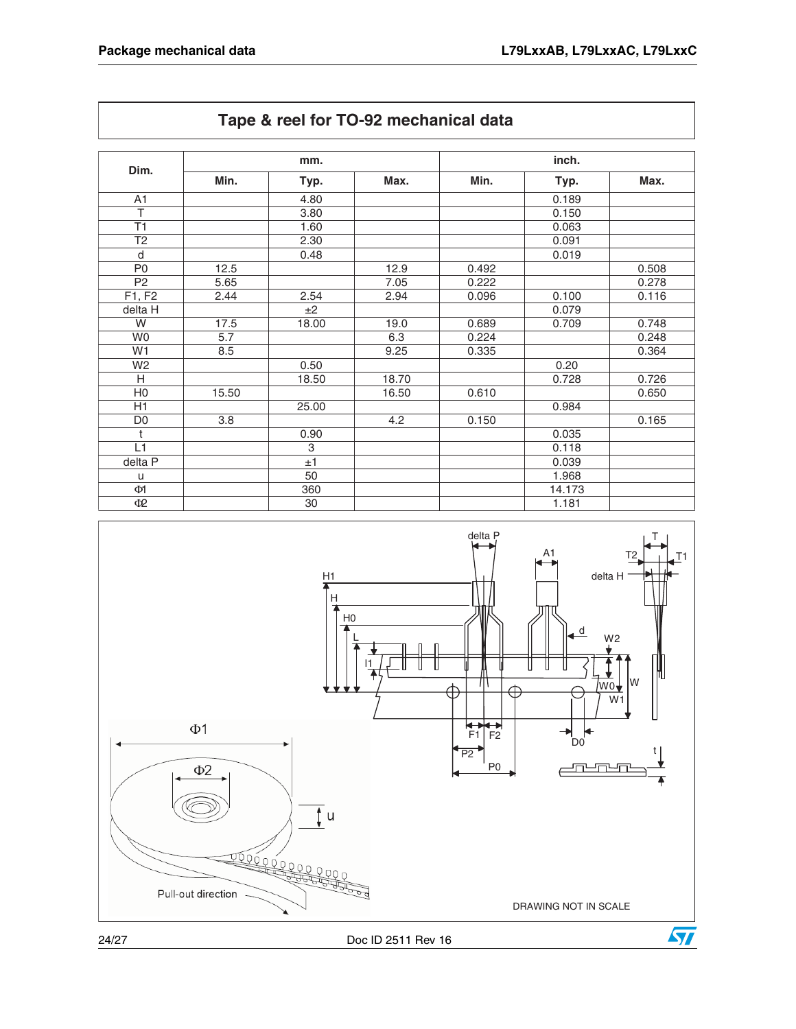| Dim.           | mm.   |       |       | inch. |        |       |
|----------------|-------|-------|-------|-------|--------|-------|
|                | Min.  | Typ.  | Max.  | Min.  | Typ.   | Max.  |
| A1             |       | 4.80  |       |       | 0.189  |       |
| T              |       | 3.80  |       |       | 0.150  |       |
| T1             |       | 1.60  |       |       | 0.063  |       |
| T <sub>2</sub> |       | 2.30  |       |       | 0.091  |       |
| d              |       | 0.48  |       |       | 0.019  |       |
| P <sub>0</sub> | 12.5  |       | 12.9  | 0.492 |        | 0.508 |
| P <sub>2</sub> | 5.65  |       | 7.05  | 0.222 |        | 0.278 |
| F1, F2         | 2.44  | 2.54  | 2.94  | 0.096 | 0.100  | 0.116 |
| delta H        |       | ±2    |       |       | 0.079  |       |
| W              | 17.5  | 18.00 | 19.0  | 0.689 | 0.709  | 0.748 |
| W <sub>0</sub> | 5.7   |       | 6.3   | 0.224 |        | 0.248 |
| W <sub>1</sub> | 8.5   |       | 9.25  | 0.335 |        | 0.364 |
| W <sub>2</sub> |       | 0.50  |       |       | 0.20   |       |
| H              |       | 18.50 | 18.70 |       | 0.728  | 0.726 |
| H <sub>0</sub> | 15.50 |       | 16.50 | 0.610 |        | 0.650 |
| H1             |       | 25.00 |       |       | 0.984  |       |
| D <sub>0</sub> | 3.8   |       | 4.2   | 0.150 |        | 0.165 |
| t              |       | 0.90  |       |       | 0.035  |       |
| L1             |       | 3     |       |       | 0.118  |       |
| delta P        |       | ±1    |       |       | 0.039  |       |
| u              |       | 50    |       |       | 1.968  |       |
| $\Phi$ 1       |       | 360   |       |       | 14.173 |       |
| Ф2             |       | 30    |       |       | 1.181  |       |

**Tape & reel for TO-92 mechanical data**



24/27 Doc ID 2511 Rev 16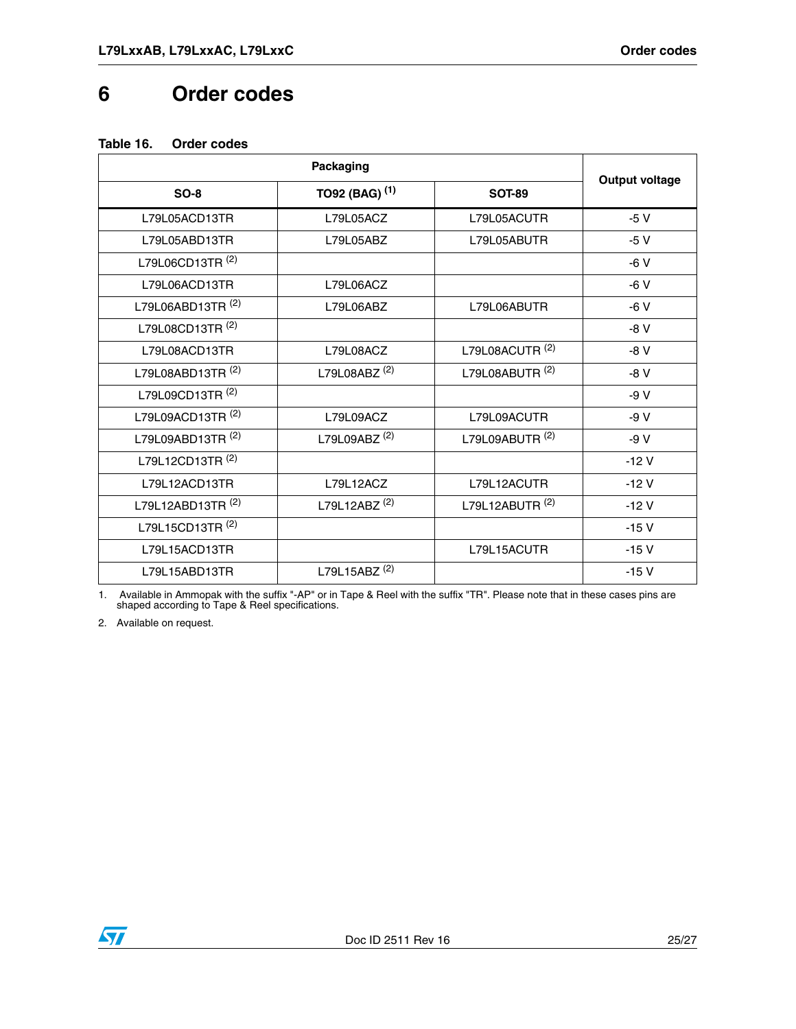### <span id="page-25-0"></span>**6 Order codes**

#### <span id="page-25-1"></span>**Table 16. Order codes**

| $SO-8$                       | TO92 (BAG) <sup>(1)</sup> | <b>SOT-89</b>              | <b>Output voltage</b> |  |
|------------------------------|---------------------------|----------------------------|-----------------------|--|
| L79L05ACD13TR                | L79L05ACZ                 | L79L05ACUTR                | $-5V$                 |  |
| L79L05ABD13TR                | L79L05ABZ                 | L79L05ABUTR                | $-5V$                 |  |
| L79L06CD13TR <sup>(2)</sup>  |                           |                            | $-6V$                 |  |
| L79L06ACD13TR                | L79L06ACZ                 |                            | $-6V$                 |  |
| L79L06ABD13TR <sup>(2)</sup> | L79L06ABZ                 | L79L06ABUTR                | $-6V$                 |  |
| L79L08CD13TR <sup>(2)</sup>  |                           |                            | $-8V$                 |  |
| L79L08ACD13TR                | L79L08ACZ                 | L79L08ACUTR <sup>(2)</sup> | $-8V$                 |  |
| L79L08ABD13TR <sup>(2)</sup> | L79L08ABZ <sup>(2)</sup>  | L79L08ABUTR <sup>(2)</sup> | $-8V$                 |  |
| L79L09CD13TR <sup>(2)</sup>  |                           |                            | $-9V$                 |  |
| L79L09ACD13TR <sup>(2)</sup> | L79L09ACZ                 | L79L09ACUTR                | $-9V$                 |  |
| L79L09ABD13TR <sup>(2)</sup> | L79L09ABZ <sup>(2)</sup>  | L79L09ABUTR <sup>(2)</sup> | $-9V$                 |  |
| L79L12CD13TR <sup>(2)</sup>  |                           |                            | $-12V$                |  |
| L79L12ACD13TR                | L79L12ACZ                 | L79L12ACUTR                | $-12V$                |  |
| L79L12ABD13TR <sup>(2)</sup> | L79L12ABZ <sup>(2)</sup>  | L79L12ABUTR <sup>(2)</sup> | $-12V$                |  |
| L79L15CD13TR <sup>(2)</sup>  |                           |                            | $-15V$                |  |
| L79L15ACD13TR                |                           | L79L15ACUTR                | $-15V$                |  |
| L79L15ABD13TR                | L79L15ABZ <sup>(2)</sup>  |                            | $-15V$                |  |

1. Available in Ammopak with the suffix "-AP" or in Tape & Reel with the suffix "TR". Please note that in these cases pins are shaped according to Tape & Reel specifications.

2. Available on request.

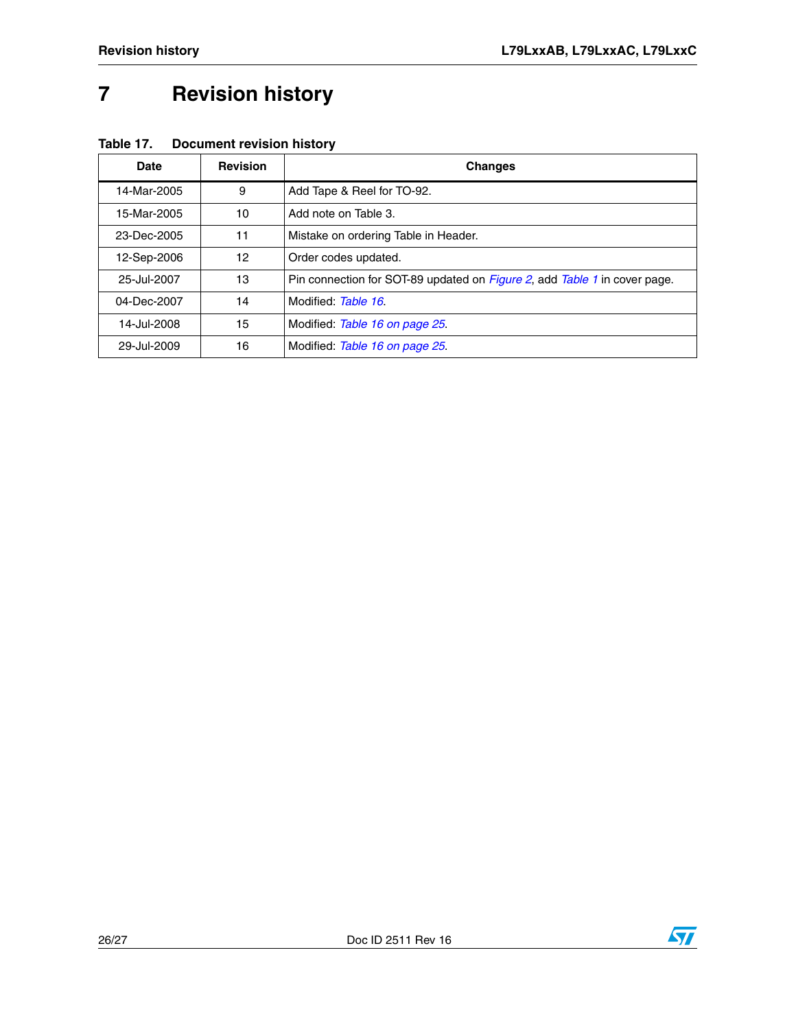# <span id="page-26-0"></span>**7 Revision history**

| Date        | <b>Revision</b> | <b>Changes</b>                                                                           |
|-------------|-----------------|------------------------------------------------------------------------------------------|
| 14-Mar-2005 | 9               | Add Tape & Reel for TO-92.                                                               |
| 15-Mar-2005 | 10              | Add note on Table 3.                                                                     |
| 23-Dec-2005 | 11              | Mistake on ordering Table in Header.                                                     |
| 12-Sep-2006 | 12              | Order codes updated.                                                                     |
| 25-Jul-2007 | 13              | Pin connection for SOT-89 updated on <i>Figure 2</i> , add <i>Table 1</i> in cover page. |
| 04-Dec-2007 | 14              | Modified: Table 16.                                                                      |
| 14-Jul-2008 | 15              | Modified: Table 16 on page 25.                                                           |
| 29-Jul-2009 | 16              | Modified: Table 16 on page 25.                                                           |

**Table 17. Document revision history**